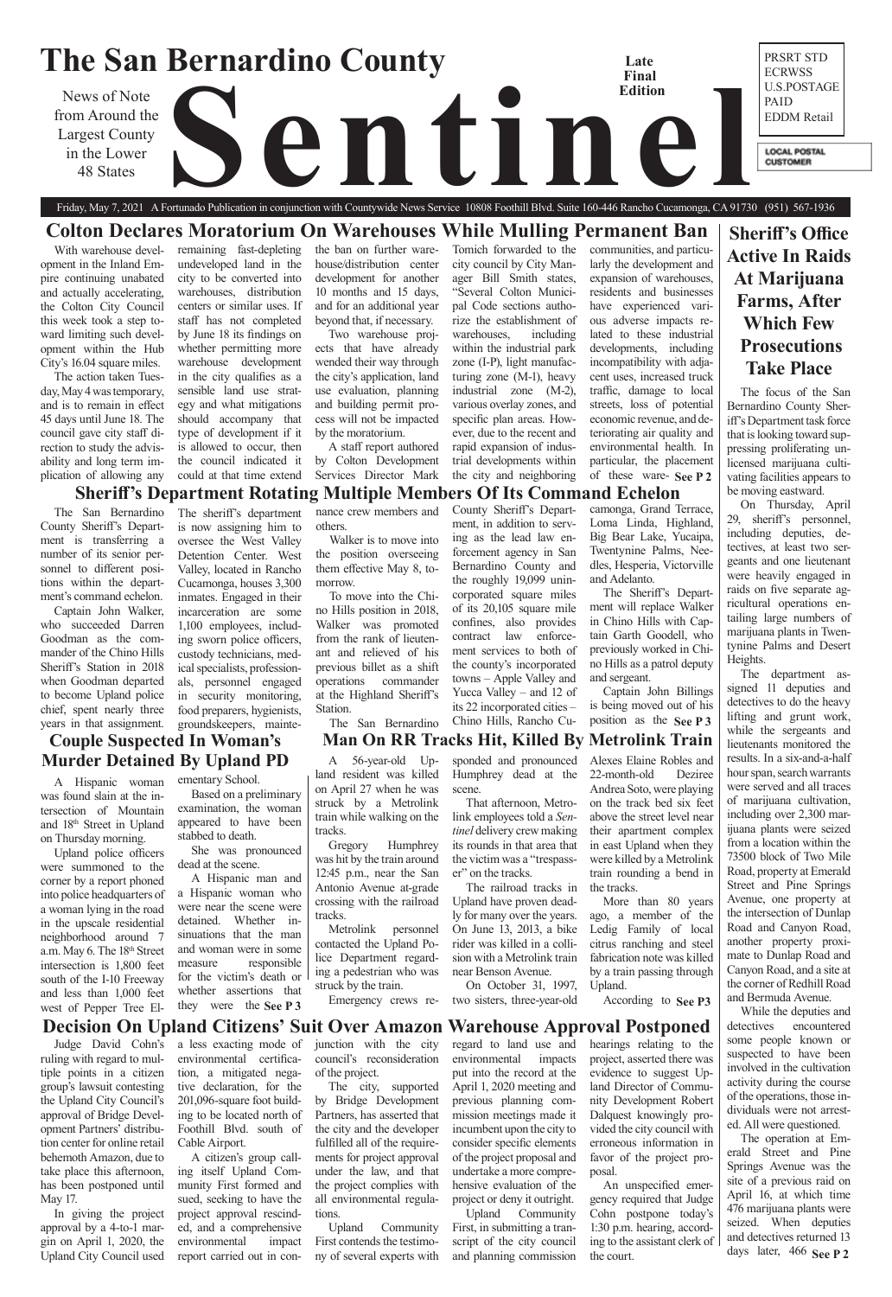## **The San Bernardino County** PRSRT STD **Late**  ECRWSS **Final**  U.S.POSTAGE **Edition** News of Note<br>rom Around the<br>in the Lower<br>48 States PAID from Around the EDDM Retail Largest County in the Lower **LOCAL POSTAL CUSTOMER** 48 States

# Friday, May 7, 2021 A Fortunado Publication in conjunction with Countywide News Service 10808 Foothill Blvd. Suite 160-446 Rancho Cucamonga, CA 91730 (951) 567-1936 **Colton Declares Moratorium On Warehouses While Mulling Permanent Ban**

# **Decision On Upland Citizens' Suit Over Amazon Warehouse Approval Postponed**

## With warehouse development in the Inland Empire continuing unabated and actually accelerating, the Colton City Council this week took a step toward limiting such development within the Hub City's 16.04 square miles.

The action taken Tuesday, May 4 was temporary, and is to remain in effect 45 days until June 18. The council gave city staff direction to study the advisability and long term implication of allowing any remaining fast-depleting undeveloped land in the city to be converted into warehouses, distribution centers or similar uses. If staff has not completed by June 18 its findings on whether permitting more warehouse development in the city qualifies as a sensible land use strategy and what mitigations should accompany that type of development if it is allowed to occur, then the council indicated it could at that time extend

of these ware- See P 2 communities, and particularly the development and expansion of warehouses, residents and businesses have experienced various adverse impacts related to these industrial developments, including incompatibility with adjacent uses, increased truck traffic, damage to local streets, loss of potential economic revenue, and deteriorating air quality and environmental health. In particular, the placement

**Sheriff's Office Active In Raids At Marijuana Farms, After Which Few Prosecutions Take Place** The focus of the San

the ban on further warehouse/distribution center development for another 10 months and 15 days, and for an additional year beyond that, if necessary.

Two warehouse projects that have already wended their way through the city's application, land use evaluation, planning and building permit process will not be impacted by the moratorium.

A staff report authored by Colton Development Services Director Mark

> days later, 466 **See P 2** The operation at Emerald Street and Pine Springs Avenue was the site of a previous raid on April 16, at which time 476 marijuana plants were seized. When deputies and detectives returned 13

## Tomich forwarded to the city council by City Manager Bill Smith states, "Several Colton Municipal Code sections authorize the establishment of warehouses, including within the industrial park zone (I-P), light manufacturing zone (M-1), heavy industrial zone (M-2), various overlay zones, and specific plan areas. However, due to the recent and rapid expansion of industrial developments within the city and neighboring

Bernardino County Sheriff's Department task force that is looking toward suppressing proliferating unlicensed marijuana cultivating facilities appears to be moving eastward.

position as the See P 3 previously worked in Chino Hills as a patrol deputy and sergeant. Captain John Billings is being moved out of his

**Man On RR Tracks Hit, Killed By Metrolink Train** Chino Hills, Rancho Cu-

**Sheriff's Department Rotating Multiple Members Of Its Command Echelon** nance crew members and County Sheriff's Departcamonga, Grand Terrace,

On Thursday, April 29, sheriff's personnel, including deputies, detectives, at least two sergeants and one lieutenant were heavily engaged in raids on five separate agricultural operations entailing large numbers of marijuana plants in Twentynine Palms and Desert Heights.

A Hispanic man and a Hispanic woman who were near the scene were detained. Whether insinuations that the man and woman were in some measure responsible for the victim's death or whether assertions that they were the See P 3

The department assigned 11 deputies and detectives to do the heavy lifting and grunt work, while the sergeants and lieutenants monitored the results. In a six-and-a-half hour span, search warrants were served and all traces of marijuana cultivation, including over 2,300 marijuana plants were seized from a location within the 73500 block of Two Mile Road, property at Emerald Street and Pine Springs Avenue, one property at the intersection of Dunlap Road and Canyon Road, another property proximate to Dunlap Road and Canyon Road, and a site at the corner of Redhill Road and Bermuda Avenue.

**See P3** Emergency crews re- two sisters, three-year-old According to See P3 Emergency crews re-

While the deputies and

detectives encountered some people known or suspected to have been involved in the cultivation activity during the course of the operations, those individuals were not arrested. All were questioned.

The San Bernardino County Sheriff's Department is transferring a number of its senior personnel to different positions within the department's command echelon.

Captain John Walker, who succeeded Darren Goodman as the commander of the Chino Hills Sheriff's Station in 2018 when Goodman departed to become Upland police chief, spent nearly three years in that assignment.

The sheriff's department is now assigning him to oversee the West Valley Detention Center. West Valley, located in Rancho Cucamonga, houses 3,300 inmates. Engaged in their incarceration are some 1,100 employees, including sworn police officers, custody technicians, medical specialists, professionals, personnel engaged in security monitoring, food preparers, hygienists, groundskeepers, mainte-

others.

Walker is to move into the position overseeing them effective May 8, tomorrow.

To move into the Chino Hills position in 2018, Walker was promoted from the rank of lieutenant and relieved of his previous billet as a shift operations commander at the Highland Sheriff's Station.

The San Bernardino

ment services to both of the county's incorporated towns – Apple Valley and Yucca Valley – and 12 of its 22 incorporated cities –

ment, in addition to serving as the lead law enforcement agency in San Bernardino County and the roughly 19,099 unincorporated square miles of its 20,105 square mile confines, also provides contract law enforce-Loma Linda, Highland, Big Bear Lake, Yucaipa, Twentynine Palms, Needles, Hesperia, Victorville and Adelanto. The Sheriff's Department will replace Walker in Chino Hills with Captain Garth Goodell, who

A Hispanic woman was found slain at the intersection of Mountain and 18th Street in Upland on Thursday morning.

Upland police officers were summoned to the corner by a report phoned into police headquarters of a woman lying in the road in the upscale residential neighborhood around 7 a.m. May 6. The 18th Street intersection is 1,800 feet south of the I-10 Freeway and less than 1,000 feet west of Pepper Tree Elementary School.

Based on a preliminary examination, the woman appeared to have been stabbed to death.

She was pronounced dead at the scene.

A 56-year-old Upland resident was killed on April 27 when he was struck by a Metrolink train while walking on the tracks.

Gregory Humphrey was hit by the train around 12:45 p.m., near the San Antonio Avenue at-grade crossing with the railroad tracks.

Metrolink personnel contacted the Upland Police Department regarding a pedestrian who was struck by the train.

Humphrey dead at the scene.

That afternoon, Metrolink employees told a *Sentinel* delivery crew making its rounds in that area that the victim was a "trespasser" on the tracks.

The railroad tracks in

sponded and pronounced Alexes Elaine Robles and 22-month-old Deziree

Upland have proven deadly for many over the years. On June 13, 2013, a bike rider was killed in a collision with a Metrolink train near Benson Avenue.

On October 31, 1997,

Andrea Soto, were playing on the track bed six feet above the street level near their apartment complex in east Upland when they were killed by a Metrolink train rounding a bend in

the tracks.

More than 80 years ago, a member of the Ledig Family of local citrus ranching and steel fabrication note was killed by a train passing through

According to See P3

Upland.

Judge David Cohn's ruling with regard to multiple points in a citizen group's lawsuit contesting the Upland City Council's approval of Bridge Development Partners' distribution center for online retail behemoth Amazon, due to take place this afternoon, has been postponed until May 17.

In giving the project approval by a 4-to-1 margin on April 1, 2020, the Upland City Council used

environmental certification, a mitigated negative declaration, for the 201,096-square foot building to be located north of Foothill Blvd. south of Cable Airport.

a less exacting mode of junction with the city council's reconsideration of the project.

A citizen's group calling itself Upland Community First formed and sued, seeking to have the project approval rescinded, and a comprehensive environmental impact report carried out in con-

The city, supported by Bridge Development Partners, has asserted that the city and the developer fulfilled all of the requirements for project approval under the law, and that the project complies with all environmental regulations.

Upland Community First contends the testimony of several experts with regard to land use and environmental impacts put into the record at the April 1, 2020 meeting and previous planning commission meetings made it incumbent upon the city to consider specific elements of the project proposal and undertake a more comprehensive evaluation of the project or deny it outright. Upland Community First, in submitting a transcript of the city council and planning commission

hearings relating to the project, asserted there was evidence to suggest Upland Director of Community Development Robert Dalquest knowingly provided the city council with erroneous information in favor of the project proposal.

An unspecified emergency required that Judge Cohn postpone today's 1:30 p.m. hearing, according to the assistant clerk of the court.

# **Couple Suspected In Woman's Murder Detained By Upland PD**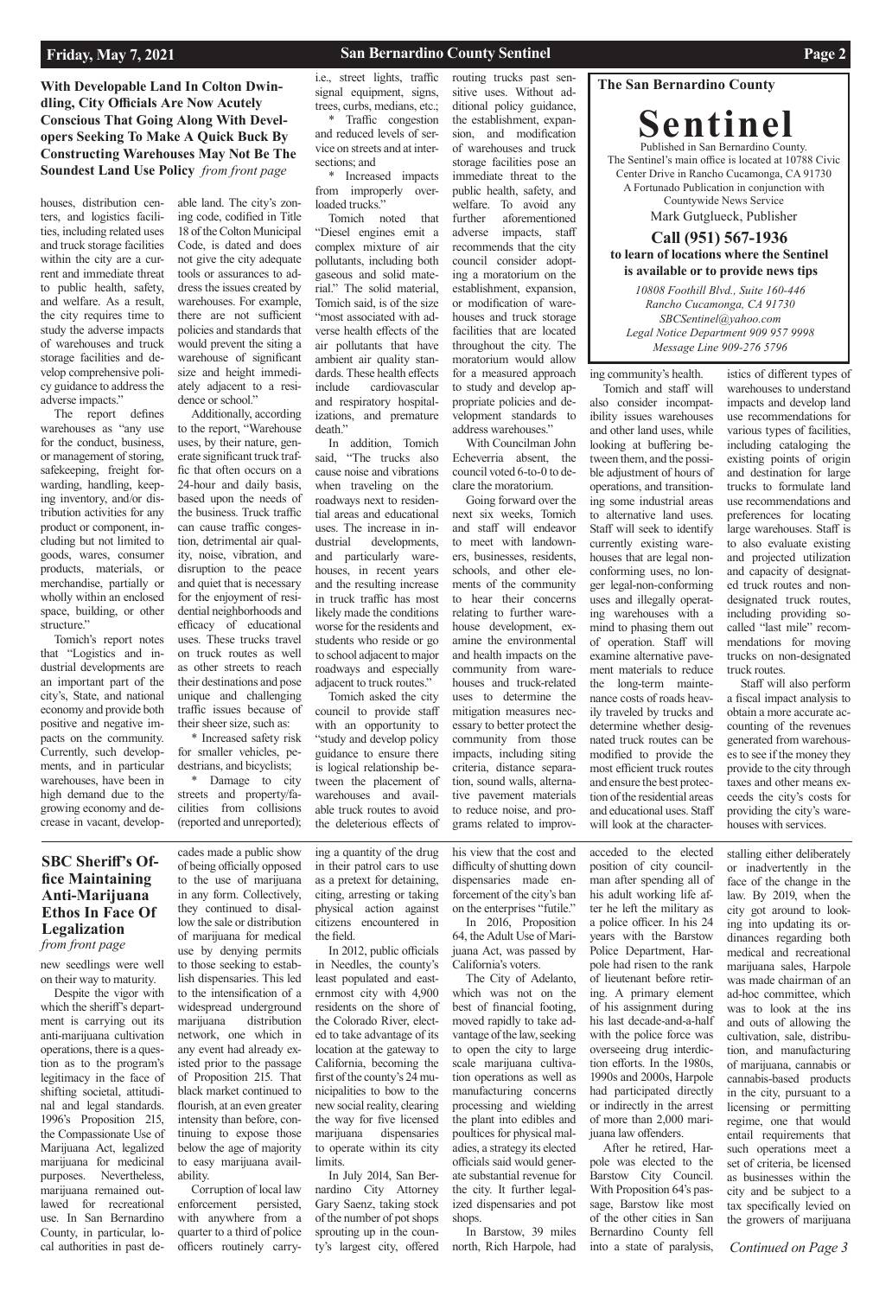**San Bernardino County Sentinel Page 2**

## **The San Bernardino County**

**Sentinel** Published in San Bernardino County. The Sentinel's main office is located at 10788 Civic Center Drive in Rancho Cucamonga, CA 91730 A Fortunado Publication in conjunction with Countywide News Service Mark Gutglueck, Publisher **Call (951) 567-1936**

# **to learn of locations where the Sentinel is available or to provide news tips**

**With Developable Land In Colton Dwindling, City Officials Are Now Acutely Conscious That Going Along With Developers Seeking To Make A Quick Buck By Constructing Warehouses May Not Be The Soundest Land Use Policy** *from front page*

The report defines warehouses as "any use for the conduct, business, or management of storing, safekeeping, freight forwarding, handling, keeping inventory, and/or distribution activities for any product or component, including but not limited to goods, wares, consumer products, materials, or merchandise, partially or wholly within an enclosed space, building, or other structure."

# **SBC Sheriff's Office Maintaining Anti-Marijuana Ethos In Face Of Legalization**  *from front page*

*Continued on Page 3*

*10808 Foothill Blvd., Suite 160-446 Rancho Cucamonga, CA 91730 SBCSentinel@yahoo.com Legal Notice Department 909 957 9998 Message Line 909-276 5796*

# **Friday, May 7, 2021**

houses, distribution centers, and logistics facilities, including related uses and truck storage facilities within the city are a current and immediate threat to public health, safety, and welfare. As a result, the city requires time to study the adverse impacts of warehouses and truck storage facilities and develop comprehensive policy guidance to address the adverse impacts."

\* Increased impacts from improperly overloaded trucks."

Tomich's report notes that "Logistics and industrial developments are an important part of the city's, State, and national economy and provide both positive and negative impacts on the community. Currently, such developments, and in particular warehouses, have been in high demand due to the growing economy and decrease in vacant, develop-

able land. The city's zoning code, codified in Title 18 of the Colton Municipal Code, is dated and does not give the city adequate tools or assurances to address the issues created by warehouses. For example, there are not sufficient policies and standards that would prevent the siting a warehouse of significant size and height immediately adjacent to a residence or school."

Additionally, according to the report, "Warehouse uses, by their nature, generate significant truck traffic that often occurs on a 24-hour and daily basis, based upon the needs of the business. Truck traffic can cause traffic congestion, detrimental air quality, noise, vibration, and disruption to the peace and quiet that is necessary for the enjoyment of residential neighborhoods and efficacy of educational uses. These trucks travel on truck routes as well as other streets to reach their destinations and pose unique and challenging traffic issues because of their sheer size, such as:

\* Increased safety risk for smaller vehicles, pedestrians, and bicyclists;

\* Damage to city streets and property/facilities from collisions (reported and unreported); i.e., street lights, traffic signal equipment, signs, trees, curbs, medians, etc.;

\* Traffic congestion and reduced levels of service on streets and at intersections; and

Tomich noted that "Diesel engines emit a complex mixture of air pollutants, including both gaseous and solid material." The solid material, Tomich said, is of the size "most associated with adverse health effects of the air pollutants that have ambient air quality standards. These health effects include cardiovascular and respiratory hospitalizations, and premature death."

In addition, Tomich said, "The trucks also cause noise and vibrations when traveling on the roadways next to residential areas and educational uses. The increase in industrial developments, and particularly warehouses, in recent years and the resulting increase in truck traffic has most likely made the conditions worse for the residents and students who reside or go to school adjacent to major roadways and especially adjacent to truck routes."

Tomich asked the city council to provide staff with an opportunity to "study and develop policy guidance to ensure there is logical relationship between the placement of warehouses and available truck routes to avoid the deleterious effects of

routing trucks past sen-

sitive uses. Without additional policy guidance, the establishment, expansion, and modification of warehouses and truck storage facilities pose an immediate threat to the public health, safety, and welfare. To avoid any further aforementioned adverse impacts, staff recommends that the city council consider adopting a moratorium on the establishment, expansion, or modification of warehouses and truck storage facilities that are located throughout the city. The moratorium would allow for a measured approach to study and develop appropriate policies and development standards to address warehouses."

With Councilman John Echeverria absent, the council voted 6-to-0 to declare the moratorium.

Going forward over the next six weeks, Tomich and staff will endeavor to meet with landowners, businesses, residents, schools, and other elements of the community to hear their concerns relating to further warehouse development, examine the environmental and health impacts on the community from warehouses and truck-related uses to determine the mitigation measures necessary to better protect the community from those impacts, including siting criteria, distance separation, sound walls, alternative pavement materials to reduce noise, and programs related to improv-

ing community's health.

Tomich and staff will also consider incompat-

ibility issues warehouses and other land uses, while looking at buffering between them, and the possible adjustment of hours of operations, and transitioning some industrial areas to alternative land uses. Staff will seek to identify currently existing warehouses that are legal nonconforming uses, no longer legal-non-conforming uses and illegally operating warehouses with a mind to phasing them out of operation. Staff will examine alternative pavement materials to reduce the long-term maintenance costs of roads heavily traveled by trucks and determine whether designated truck routes can be modified to provide the most efficient truck routes and ensure the best protection of the residential areas and educational uses. Staff will look at the character-

istics of different types of warehouses to understand impacts and develop land use recommendations for various types of facilities, including cataloging the existing points of origin and destination for large trucks to formulate land use recommendations and preferences for locating large warehouses. Staff is to also evaluate existing and projected utilization and capacity of designated truck routes and nondesignated truck routes, including providing socalled "last mile" recommendations for moving trucks on non-designated truck routes.

Staff will also perform a fiscal impact analysis to obtain a more accurate accounting of the revenues generated from warehouses to see if the money they provide to the city through taxes and other means exceeds the city's costs for providing the city's warehouses with services.

new seedlings were well on their way to maturity.

Despite the vigor with which the sheriff's depart-

ment is carrying out its anti-marijuana cultivation operations, there is a question as to the program's legitimacy in the face of shifting societal, attitudinal and legal standards. 1996's Proposition 215, the Compassionate Use of Marijuana Act, legalized marijuana for medicinal purposes. Nevertheless, marijuana remained outlawed for recreational use. In San Bernardino County, in particular, local authorities in past de-

cades made a public show of being officially opposed to the use of marijuana in any form. Collectively, they continued to disallow the sale or distribution of marijuana for medical use by denying permits to those seeking to establish dispensaries. This led to the intensification of a widespread underground

marijuana distribution network, one which in any event had already existed prior to the passage of Proposition 215. That black market continued to flourish, at an even greater intensity than before, continuing to expose those below the age of majority to easy marijuana availability.

Corruption of local law enforcement persisted, with anywhere from a quarter to a third of police officers routinely carrying a quantity of the drug in their patrol cars to use as a pretext for detaining, citing, arresting or taking physical action against citizens encountered in the field.

In 2012, public officials in Needles, the county's least populated and easternmost city with 4,900 residents on the shore of

the Colorado River, elected to take advantage of its location at the gateway to California, becoming the first of the county's 24 municipalities to bow to the new social reality, clearing the way for five licensed marijuana dispensaries to operate within its city limits. In July 2014, San Bernardino City Attorney

his view that the cost and difficulty of shutting down dispensaries made enforcement of the city's ban on the enterprises "futile."

In 2016, Proposition 64, the Adult Use of Marijuana Act, was passed by California's voters.

The City of Adelanto, which was not on the best of financial footing,

Gary Saenz, taking stock of the number of pot shops sprouting up in the county's largest city, offered vantage of the law, seeking to open the city to large scale marijuana cultivation operations as well as manufacturing concerns processing and wielding the plant into edibles and poultices for physical maladies, a strategy its elected officials said would generate substantial revenue for the city. It further legalized dispensaries and pot shops. In Barstow, 39 miles north, Rich Harpole, had

moved rapidly to take ad-

acceded to the elected position of city councilman after spending all of his adult working life after he left the military as a police officer. In his 24 years with the Barstow Police Department, Harpole had risen to the rank of lieutenant before retiring. A primary element of his assignment during his last decade-and-a-half with the police force was overseeing drug interdiction efforts. In the 1980s, 1990s and 2000s, Harpole had participated directly or indirectly in the arrest of more than 2,000 marijuana law offenders. After he retired, Harpole was elected to the Barstow City Council. With Proposition 64's passage, Barstow like most of the other cities in San Bernardino County fell into a state of paralysis,

stalling either deliberately or inadvertently in the face of the change in the law. By 2019, when the city got around to looking into updating its ordinances regarding both medical and recreational marijuana sales, Harpole was made chairman of an ad-hoc committee, which was to look at the ins and outs of allowing the cultivation, sale, distribution, and manufacturing of marijuana, cannabis or cannabis-based products in the city, pursuant to a licensing or permitting regime, one that would entail requirements that such operations meet a set of criteria, be licensed as businesses within the city and be subject to a tax specifically levied on the growers of marijuana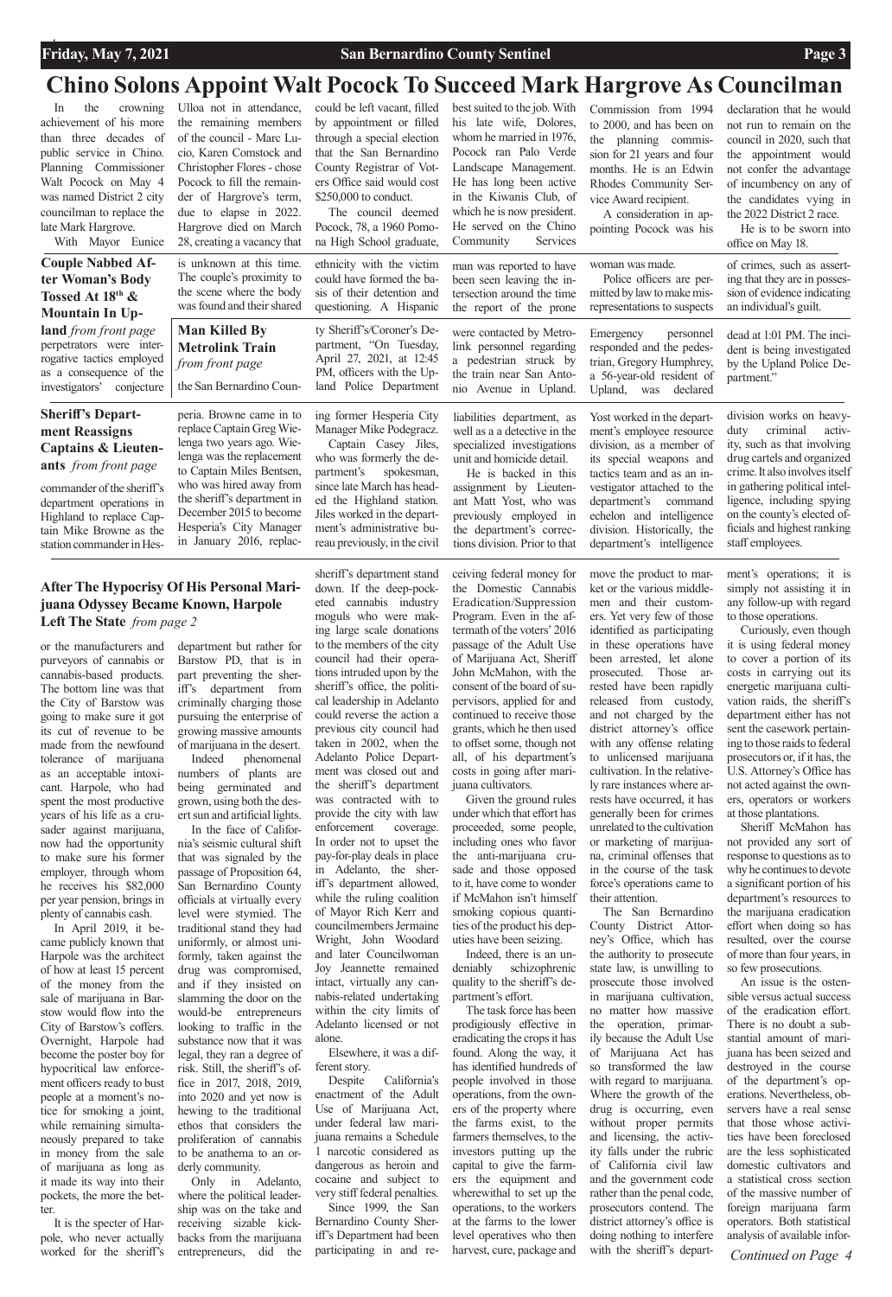# **Chino Solons Appoint Walt Pocock To Succeed Mark Hargrove As Councilman**

**juana Odyssey Became Known, Harpole** 

**Left The State** *from page 2*

or the manufacturers and purveyors of cannabis or cannabis-based products. The bottom line was that the City of Barstow was going to make sure it got its cut of revenue to be made from the newfound tolerance of marijuana as an acceptable intoxicant. Harpole, who had spent the most productive years of his life as a crusader against marijuana, now had the opportunity to make sure his former employer, through whom he receives his \$82,000 per year pension, brings in plenty of cannabis cash.

In April 2019, it became publicly known that Harpole was the architect of how at least 15 percent of the money from the sale of marijuana in Barstow would flow into the City of Barstow's coffers. Overnight, Harpole had become the poster boy for hypocritical law enforcement officers ready to bust people at a moment's notice for smoking a joint, while remaining simultaneously prepared to take in money from the sale of marijuana as long as it made its way into their pockets, the more the better.

It is the specter of Harpole, who never actually worked for the sheriff's department but rather for Barstow PD, that is in part preventing the sheriff's department from criminally charging those pursuing the enterprise of growing massive amounts of marijuana in the desert.

Indeed phenomenal numbers of plants are being germinated and grown, using both the desert sun and artificial lights.

In the face of California's seismic cultural shift that was signaled by the passage of Proposition 64, San Bernardino County officials at virtually every level were stymied. The traditional stand they had uniformly, or almost uniformly, taken against the drug was compromised, and if they insisted on slamming the door on the would-be entrepreneurs looking to traffic in the substance now that it was legal, they ran a degree of risk. Still, the sheriff's office in 2017, 2018, 2019, into 2020 and yet now is hewing to the traditional ethos that considers the proliferation of cannabis to be anathema to an orderly community. Only in Adelanto, where the political leadership was on the take and receiving sizable kick-

backs from the marijuana entrepreneurs, did the eted cannabis industry moguls who were making large scale donations to the members of the city council had their operations intruded upon by the sheriff's office, the political leadership in Adelanto could reverse the action a previous city council had taken in 2002, when the Adelanto Police Department was closed out and the sheriff's department was contracted with to provide the city with law enforcement coverage. In order not to upset the pay-for-play deals in place in Adelanto, the sheriff's department allowed, while the ruling coalition of Mayor Rich Kerr and councilmembers Jermaine Wright, John Woodard and later Councilwoman Joy Jeannette remained intact, virtually any cannabis-related undertaking within the city limits of Adelanto licensed or not alone.

Elsewhere, it was a different story.

Despite California's enactment of the Adult Use of Marijuana Act, under federal law marijuana remains a Schedule 1 narcotic considered as dangerous as heroin and cocaine and subject to very stiff federal penalties. Since 1999, the San Bernardino County Sheriff's Department had been participating in and re-

*Continued on Page 4* An issue is the ostensible versus actual success of the eradication effort. There is no doubt a substantial amount of marijuana has been seized and destroyed in the course of the department's operations. Nevertheless, observers have a real sense that those whose activities have been foreclosed are the less sophisticated domestic cultivators and a statistical cross section of the massive number of foreign marijuana farm operators. Both statistical analysis of available infor-

Eradication/Suppression Program. Even in the aftermath of the voters' 2016 passage of the Adult Use of Marijuana Act, Sheriff John McMahon, with the consent of the board of supervisors, applied for and continued to receive those grants, which he then used to offset some, though not all, of his department's costs in going after marijuana cultivators. Given the ground rules

under which that effort has proceeded, some people, including ones who favor the anti-marijuana crusade and those opposed to it, have come to wonder if McMahon isn't himself smoking copious quantities of the product his deputies have been seizing.

Indeed, there is an undeniably schizophrenic quality to the sheriff's department's effort.

The task force has been prodigiously effective in eradicating the crops it has found. Along the way, it has identified hundreds of people involved in those operations, from the owners of the property where the farms exist, to the farmers themselves, to the investors putting up the capital to give the farmers the equipment and wherewithal to set up the operations, to the workers at the farms to the lower level operatives who then harvest, cure, package and

men and their customers. Yet very few of those identified as participating in these operations have been arrested, let alone prosecuted. Those arrested have been rapidly released from custody, and not charged by the district attorney's office with any offense relating to unlicensed marijuana cultivation. In the relatively rare instances where arrests have occurred, it has generally been for crimes unrelated to the cultivation or marketing of marijuana, criminal offenses that in the course of the task force's operations came to their attention.

| crowning<br>In<br>the<br>achievement of his more<br>than three decades of<br>public service in Chino.<br>Planning Commissioner<br>Walt Pocock on May 4<br>was named District 2 city<br>councilman to replace the<br>late Mark Hargrove.<br>With Mayor Eunice | Ulloa not in attendance,<br>the remaining members<br>of the council - Marc Lu-<br>cio, Karen Comstock and<br>Christopher Flores - chose<br>Pocock to fill the remain-<br>der of Hargrove's term,<br>due to elapse in 2022.<br>Hargrove died on March<br>28, creating a vacancy that      | could be left vacant, filled<br>by appointment or filled<br>through a special election<br>that the San Bernardino<br>County Registrar of Vot-<br>ers Office said would cost<br>\$250,000 to conduct.<br>The council deemed<br>Pocock, 78, a 1960 Pomo-<br>na High School graduate,         | best suited to the job. With<br>his late wife, Dolores,<br>whom he married in 1976,<br>Pocock ran Palo Verde<br>Landscape Management.<br>He has long been active<br>in the Kiwanis Club, of<br>which he is now president.<br>He served on the Chino<br>Services<br>Community             | Commission from 1994<br>to 2000, and has been on<br>the planning commis-<br>sion for 21 years and four<br>months. He is an Edwin<br>Rhodes Community Ser-<br>vice Award recipient.<br>A consideration in ap-<br>pointing Pocock was his                                                   | declaration that he would<br>not run to remain on the<br>council in 2020, such that<br>the appointment would<br>not confer the advantage<br>of incumbency on any of<br>the candidates vying in<br>the 2022 District 2 race.<br>He is to be sworn into<br>office on May 18.                            |
|--------------------------------------------------------------------------------------------------------------------------------------------------------------------------------------------------------------------------------------------------------------|------------------------------------------------------------------------------------------------------------------------------------------------------------------------------------------------------------------------------------------------------------------------------------------|--------------------------------------------------------------------------------------------------------------------------------------------------------------------------------------------------------------------------------------------------------------------------------------------|------------------------------------------------------------------------------------------------------------------------------------------------------------------------------------------------------------------------------------------------------------------------------------------|-------------------------------------------------------------------------------------------------------------------------------------------------------------------------------------------------------------------------------------------------------------------------------------------|-------------------------------------------------------------------------------------------------------------------------------------------------------------------------------------------------------------------------------------------------------------------------------------------------------|
| <b>Couple Nabbed Af-</b><br>ter Woman's Body<br>Tossed At 18th &<br><b>Mountain In Up-</b>                                                                                                                                                                   | is unknown at this time.<br>The couple's proximity to<br>the scene where the body<br>was found and their shared                                                                                                                                                                          | ethnicity with the victim<br>could have formed the ba-<br>sis of their detention and<br>questioning. A Hispanic                                                                                                                                                                            | man was reported to have<br>been seen leaving the in-<br>tersection around the time<br>the report of the prone                                                                                                                                                                           | woman was made.<br>Police officers are per-<br>mitted by law to make mis-<br>representations to suspects                                                                                                                                                                                  | of crimes, such as assert-<br>ing that they are in posses-<br>sion of evidence indicating<br>an individual's guilt.                                                                                                                                                                                   |
| <b>land</b> from front page<br>perpetrators were inter-<br>rogative tactics employed<br>as a consequence of the<br>investigators' conjecture                                                                                                                 | <b>Man Killed By</b><br><b>Metrolink Train</b><br>from front page<br>the San Bernardino Coun-                                                                                                                                                                                            | ty Sheriff's/Coroner's De-<br>partment, "On Tuesday,<br>April 27, 2021, at 12:45<br>PM, officers with the Up-<br>land Police Department                                                                                                                                                    | were contacted by Metro-<br>link personnel regarding<br>a pedestrian struck by<br>the train near San Anto-<br>nio Avenue in Upland.                                                                                                                                                      | Emergency<br>personnel<br>responded and the pedes-<br>trian, Gregory Humphrey,<br>a 56-year-old resident of<br>Upland, was declared                                                                                                                                                       | dead at 1:01 PM. The inci-<br>dent is being investigated<br>by the Upland Police De-<br>partment."                                                                                                                                                                                                    |
| <b>Sheriff's Depart-</b><br>ment Reassigns<br><b>Captains &amp; Lieuten-</b><br>ants from front page<br>commander of the sheriff's<br>department operations in<br>Highland to replace Cap-<br>tain Mike Browne as the<br>station commander in Hes-           | peria. Browne came in to<br>replace Captain Greg Wie-<br>lenga two years ago. Wie-<br>lenga was the replacement<br>to Captain Miles Bentsen,<br>who was hired away from<br>the sheriff's department in<br>December 2015 to become<br>Hesperia's City Manager<br>in January 2016, replac- | ing former Hesperia City<br>Manager Mike Podegracz.<br>Captain Casey Jiles,<br>who was formerly the de-<br>partment's<br>spokesman,<br>since late March has head-<br>ed the Highland station.<br>Jiles worked in the depart-<br>ment's administrative bu-<br>reau previously, in the civil | liabilities department, as<br>well as a a detective in the<br>specialized investigations<br>unit and homicide detail.<br>He is backed in this<br>assignment by Lieuten-<br>ant Matt Yost, who was<br>previously employed in<br>the department's correc-<br>tions division. Prior to that | Yost worked in the depart-<br>ment's employee resource<br>division, as a member of<br>its special weapons and<br>tactics team and as an in-<br>vestigator attached to the<br>department's command<br>echelon and intelligence<br>division. Historically, the<br>department's intelligence | division works on heavy-<br>criminal<br>duty<br>activ-<br>ity, such as that involving<br>drug cartels and organized<br>crime. It also involves itself<br>in gathering political intel-<br>ligence, including spying<br>on the county's elected of-<br>ficials and highest ranking<br>staff employees. |
|                                                                                                                                                                                                                                                              | <b>After The Hypocrisy Of His Personal Mari-</b>                                                                                                                                                                                                                                         | sheriff's department stand<br>down. If the deep-pock-                                                                                                                                                                                                                                      | ceiving federal money for<br>the Domestic Cannabis                                                                                                                                                                                                                                       | move the product to mar-<br>ket or the various middle-                                                                                                                                                                                                                                    | ment's operations; it is<br>simply not assisting it in                                                                                                                                                                                                                                                |

The San Bernardino County District Attorney's Office, which has the authority to prosecute state law, is unwilling to prosecute those involved in marijuana cultivation, no matter how massive the operation, primarily because the Adult Use of Marijuana Act has so transformed the law with regard to marijuana. Where the growth of the drug is occurring, even without proper permits and licensing, the activity falls under the rubric of California civil law and the government code rather than the penal code, prosecutors contend. The district attorney's office is doing nothing to interfere with the sheriff's depart-

any follow-up with regard to those operations.

Curiously, even though it is using federal money to cover a portion of its costs in carrying out its energetic marijuana cultivation raids, the sheriff's department either has not sent the casework pertaining to those raids to federal prosecutors or, if it has, the U.S. Attorney's Office has not acted against the owners, operators or workers at those plantations.

Sheriff McMahon has not provided any sort of response to questions as to why he continues to devote a significant portion of his department's resources to the marijuana eradication effort when doing so has resulted, over the course of more than four years, in so few prosecutions.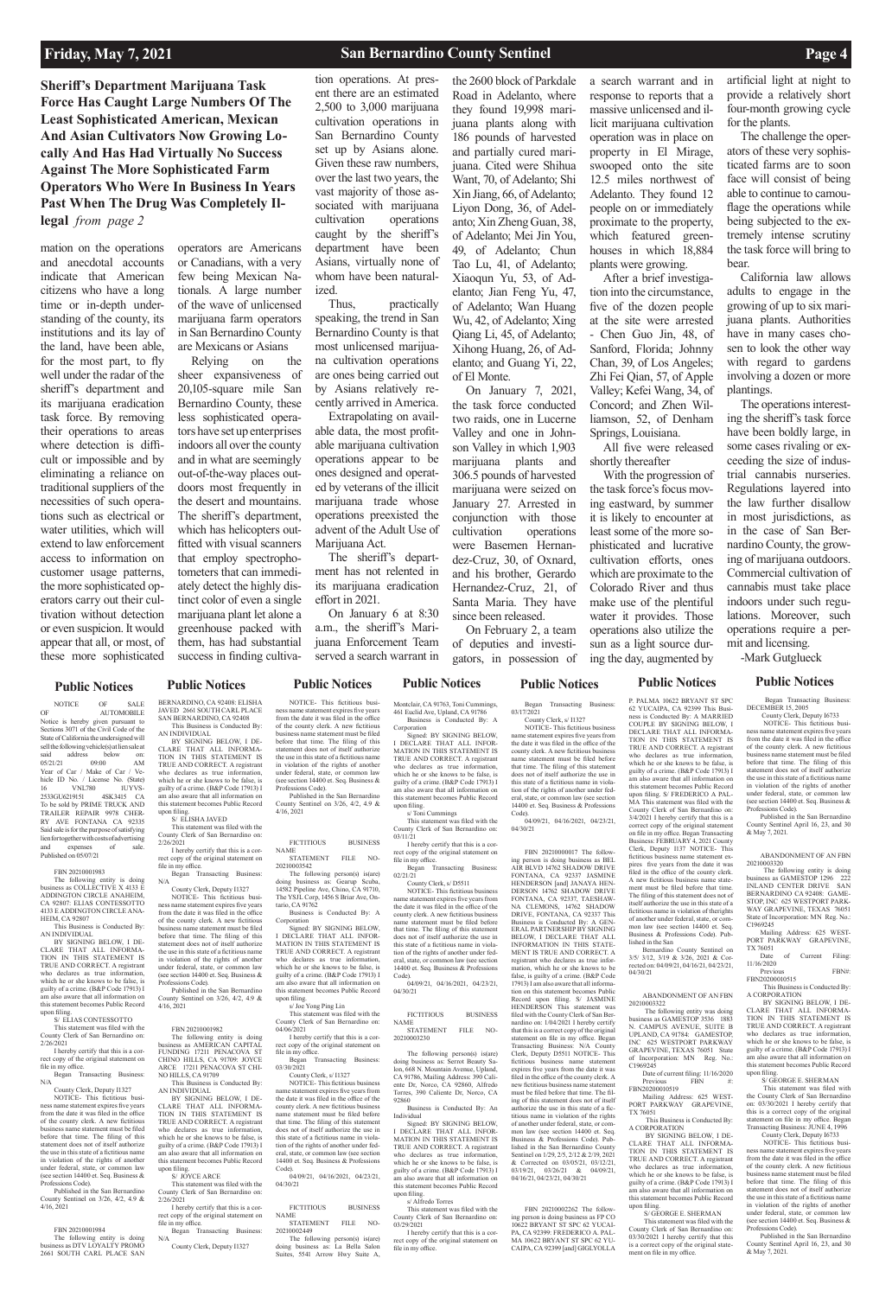## **Friday, May 7, 2021 San Bernardino County Sentinel Page 4**

**Sheriff's Department Marijuana Task Force Has Caught Large Numbers Of The Least Sophisticated American, Mexican And Asian Cultivators Now Growing Locally And Has Had Virtually No Success Against The More Sophisticated Farm Operators Who Were In Business In Years Past When The Drug Was Completely Illegal** *from page 2*

NOTICE OF SALE OF AUTOMOBILE Notice is hereby given pursuant to Sections 3071 of the Civil Code of the State of California the undersigned will sell the following vehicle(s) at lien sale at said address below on: 05/21/21 09:00 AM Year of Car / Make of Car / Vehicle ID No. / License No. (State) 16 VNL780 1UYVS-2533GU6219151 4SK3415 CA To be sold by PRIME TRUCK AND TRAILER REPAIR 9978 CHER-RY AVE FONTANA CA 92335 Said sale is for the purpose of satisfying lien for together with costs of advertising and expenses of sale. Published on 05/07/21

## FBN 20210001983

The following entity is doing business as COLLECTIVE X 4133 E ADDINGTON CIRCLE ANAHEIM, CA 92807: ELIAS CONTESSOTTO 4133 E ADDINGTON CIRCLE ANA-HEIM, CA 92807

This Business is Conducted By:<br>AN INDIVIDUAL

AN INDIVIDUAL BY SIGNING BELOW, I DE-CLARE THAT ALL INFORMA-TION IN THIS STATEMENT IS TRUE AND CORRECT. A registrant who declares as true information, which he or she knows to be false, is guilty of a crime. (B&P Code 17913) I am also aware that all information on this statement becomes Public Record

BY SIGNING BELOW, I DE-CLARE THAT ALL INFORMA-TION IN THIS STATEMENT IS TRUE AND CORRECT. A registrant who declares as true information, which he or she knows to be false, is guilty of a crime. (B&P Code 17913) I am also aware that all information on this statement becomes Public Record upon filing. S/ ELISHA JAVED

upon filing. S/ ELIAS CONTESSOTTO

This statement was filed with the County Clerk of San Bernardino on: 2/26/2021

I hereby certify that this is a correct copy of the original statement on file in my office.

Began Transacting Business: N/A

County Clerk, Deputy I1327 NOTICE- This fictitious busi-

FBN 20210001982 The following entity is doing business as AMERICAN CAPITAL FUNDING 17211 PENACOVA ST CHINO HILLS, CA 91709: JOYCE<br>ARCE 17211 PENACOVA ST CHI-17211 PENACOVA ST CHI-NO HILLS, CA 91709 This Business is Conducted By

ness name statement expires five years from the date it was filed in the office of the county clerk. A new fictitious business name statement must be filed before that time. The filing of this statement does not of itself authorize the use in this state of a fictitious name in violation of the rights of another under federal, state, or common law (see section 14400 et. Seq. Business & Professions Code).

BY SIGNING BELOW, I DE-CLARE THAT ALL INFORMA-TION IN THIS STATEMENT IS TRUE AND CORRECT. A registrant who declares as true information, who declares as true information guilty of a crime. (B&P Code 17913) I  $\overline{a}$  also aware that all information on this statement becomes Public Record upon filing. S/ JOYCE ARCE

Published in the San Bernardino anty Sentinel on  $3/26$ ,  $4/2$ ,  $4.9$  & 4/16, 2021

### FBN 20210001984

The following entity is doing business as DTV LOYALTY PROMO 2661 SOUTH CARL PLACE SAN

BERNARDINO, CA 92408: ELISHA JAVED 2661 SOUTH CARL PLACE SAN BERNARDINO, CA 92408 This Business is Conducted By: AN INDIVIDUAL

> 04/06/2021<br>I hereby certify that this is a correct copy of the original statement on

This statement was filed with the County Clerk of San Bernardino on: 2/26/2021 I hereby certify that this is a cor-

rect copy of the original statement on file in my office. Began Transacting Business

N/A County Clerk, Deputy I1327

NOTICE- This fictitious business name statement expires five years from the date it was filed in the office of the county clerk. A new fictitious business name statement must be filed before that time. The filing of this statement does not of itself authorize the use in this state of a fictitious name in violation of the rights of another under federal, state, or common law (see section  $14400$  et. Seq. Business  $\&$ Professions Code).

I hereby certify that this is a correct copy of the original statement on<br>file in mv office. file in my office.<br>Began Transacting Business:<br>02/21/21

Published in the San Bernardino County Sentinel on 3/26, 4/2, 4.9 & 4/16, 2021

AN INDIVIDUAL

NAME<br>STATEMENT FILE NO-20210003230

This statement was filed with the County Clerk of San Bernardino on: 2/26/2021

I hereby certify that this is a correct copy of the original statement on file in my office. Began Transacting Business: N/A

County Clerk, Deputy I1327

NOTICE- This fictitious business name statement expires five years from the date it was filed in the office of the county clerk. A new fictitious business name statement must be filed before that time. The filing of this statement does not of itself authorize the use in this state of a fictitious name in violation of the rights of another under federal, state, or common law (see section 14400 et. Seq. Business & Professions Code).

Published in the San Bernardino County Sentinel on 3/26, 4/2, 4.9 & 4/16, 2021

FICTITIOUS BUSINESS NAME STATEMENT FILE NO-20210003542

The following person(s) is(are) doing business as: Gearup Scuba, 14582 Pipeline Ave, Chino, CA 91710, The YSJL Corp, 1456 S Briar Ave, On-tario, CA 91762 Business is Conducted By: A

Corporation Signed: BY SIGNING BELOW, I DECLARE THAT ALL INFOR-MATION IN THIS STATEMENT IS TRUE AND CORRECT. A registrant who declares as true information, which he or she knows to be false, is guilty of a crime. (B&P Code 17913) I am also aware that all information on

this statement becomes Public Record

upon filing.

s/ Joe Yong Ping Lin

This statement was filed with the County Clerk of San Bernardino on:

file in my office. Began Transacting Business: 03/30/2021

County Clerk, s/ I1327 NOTICE- This fictitious business name statement expires five years from the date it was filed in the office of the county clerk. A new fictitious business name statement must be filed before that time. The filing of this statement does not of itself authorize the use in this state of a fictitious name in violation of the rights of another under federal, state, or common law (see section 14400 et. Seq. Business & Professions

 The following entity was doing business as GAMESTOP 3536 1883 CAMPUS AVENUE, SUITE B UPLAND, CA 91784: GAMESTOP, INC 625 WESTPORT PARKWAY GRAPEVINE, TEXAS 76051 of Incorporation: MN Reg. No.: C<sub>1969245</sub>

Date of current filing: 11/16/2020 Previous FBN #:<br>FBN20200010519

Code). 04/09/21, 04/16/2021, 04/23/21, 04/30/21

FICTITIOUS BUSINESS

NAME NIE<br>STATEMENT FILE NO-20210002449

upon filing. S/ GEORGE E. SHERMAN This statement was filed with the any Clerk of San Bernardino on:

The following person(s) is(are) doing business as: La Bella Salon Suites, 5541 Arrow Hwy Suite A,

Montclair, CA 91763, Toni Cummings, 461 Euclid Ave, Upland, CA 91786 Business is Conducted By: A

> from the date it was filed in the office of the county clerk. A new fictitious business name statement must be filed before that time. The filing of this statement does not of itself authorize the use in this state of a fictitious name in violation of the rights of another under federal, state, or common law (see section 14400 et. Seq. Business & Professions Code).<br>Published in the San Bernardino

Corporation Signed: BY SIGNING BELOW, I DECLARE THAT ALL INFOR-MATION IN THIS STATEMENT IS TRUE AND CORRECT. A registrant who declares as true information, which he or she knows to be false, is guilty of a crime. (B&P Code 17913) I am also aware that all information on this statement becomes Public Record upon filing.

> Mailing Address: 625 WEST-PORT PARKWAY GRAPEVINE TX 76051 of Current Filing:

s/ Toni Cummings This statement was filed with the County Clerk of San Bernardino on: 03/11/21

County Clerk, s/ D5511

NOTICE- This fictitious business name statement expires five years from the date it was filed in the office of the county clerk. A new fictitious business name statement must be filed before that time. The filing of this statement does not of itself authorize the use in this state of a fictitious name in viola-tion of the rights of another under federal, state, or common law (see section 14400 et. Seq. Business & Professions Code). 04/09/21, 04/16/2021, 04/23/21,

> Published in the San Bernardin County Sentinel April 16, 23, and 30 & May 7, 2021.

04/30/21

FICTITIOUS BUSINESS

The following person(s) is(are) doing business as: Serrot Beauty Salon, 668 N. Mountain Avenue, Upland, CA 91786, Mailing Address: 390 Caliente Dr, Norco, CA 92860, Alfredo Torres, 390 Caliente Dr, Norco, CA 92860

Business is Conducted By: An Individual

Signed: BY SIGNING BELOW, I DECLARE THAT ALL INFOR-MATION IN THIS STATEMENT IS TRUE AND CORRECT. A registrant who declares as true information, which he or she knows to be false, is guilty of a crime. (B&P Code 17913) I am also aware that all information on this statement becomes Public Record

upon filing.

### s/ Alfredo Torres

This statement was filed with the County Clerk of San Bernardino on: 03/29/2021

I hereby certify that this is a correct copy of the original statement on file in my office.

Began Transacting Business: 03/17/2021

County Clerk, s/ I1327

name statement expires five years from the date it was filed in the office of the

NOTICE- This fictitious business county clerk. A new fictitious business name statement must be filed before that time. The filing of this statement does not of itself authorize the use in this state of a fictitious name in violation of the rights of another under federal, state, or common law (see section 14400 et. Seq. Business & Professions

Code). 04/09/21, 04/16/2021, 04/23/21, 04/30/21

FBN 20210000017 The follow-

ing person is doing business as BEL AIR BLVD 14762 SHADOW DRIVE FONTANA, CA 92337 JASMINE HENDERSON [and] JANAYA HEN-DERSON 14762 SHADOW DRIVE FONTANA, CA 92337, TAESHAW-NA CLEMONS, 14762 SHADOW DRIVE, FONTANA, CA 92337 This Business is Conducted By: A GEN-ERAL PARTNERSHIP BY SIGNING BELOW, I DECLARE THAT ALL INFORMATION IN THIS STATE-MENT IS TRUE AND CORRECT. A registrant who declares as true infor-mation, which he or she knows to be false, is guilty of a crime. (B&P Code 17913) I am also aware that all information on this statement becomes Public upon filing. S/ JASMINE HENDERSON This statement was

filed with the County Clerk of San Ber-nardino on: 1/04/2021 I hereby certify that this is a correct copy of the original statement on file in my office. Began<br>Transacting Business: N/A County Transacting Business Clerk, Deputy D5511 NOTICE- This fictitious business name statement expires five years from the date it was filed in the office of the county clerk. A new fictitious business name statement must be filed before that time. The filing of this statement does not of itself authorize the use in this state of a fictitious name in violation of the rights of another under federal, state, or com-mon law (see section 14400 et. Seq. Business & Professions Code). Published in the San Bernardino County Sentinel on 1/29, 2/5, 2/12 & 2/19, 2021 & Corrected on 03/05/21, 03/12/21, 03/19/21, 03/26/21 & 04/09/21, 04/16/21, 04/23/21, 04/30/21

FBN 20210002262 The following person is doing business as FP CO 10622 BRYANT ST SPC 62 YUCAI-PA, CA 92399: FREDERICO A. PAL-MA 10622 BRYANT ST SPC 62 YU-CAIPA, CA 92399 [and] GIGLYOLLA

P. PALMA 10622 BRYANT ST SPC 62 YUCAIPA, CA 92399 This Busi-ness is Conducted By: A MARRIED COUPLE BY SIGNING BELOW, I DECLARE THAT ALL INFORMA-TION IN THIS STATEMENT IS TRUE AND CORRECT. A registrant who declares as true information, which he or she knows to be false, is guilty of a crime. (B&P Code 17913) I am also aware that all information on this statement becomes Public Record upon filing. S/ FREDERICO A PAL-MA This statement was filed with the County Clerk of San Bernardino on: 3/4/2021 I hereby certify that this is a correct copy of the original statement on file in my office. Began Transacting Business: FEBRUARY 4, 2021 County Clerk, Deputy I137 NOTICE- This

fictitious business name statement expires five years from the date it was filed in the office of the county clerk. A new fictitious business name statement must be filed before that time. The filing of this statement does not of itself authorize the use in this state of a fictitious name in violation of therights of another under federal, state, or common law (see section 14400 et. Seq. Business & Professions Code). Pub-

lished in the San Bernardino County Sentinel on 3/5/ 3/12, 3/19 & 3/26, 2021 & Corrected on: 04/09/21, 04/16/21, 04/23/21,

04/30/21

ABANDONMENT OF AN FBN

20210003322

Mailing Address: 625 WEST-PORT PARKWAY GRAPEVINE, TX 76051

This Business is Conducted By

A CORPORATION BY SIGNING BELOW, I DE-CLARE THAT ALL INFORMA-TION IN THIS STATEMENT IS TRUE AND CORRECT. A registrant who declares as true information, which he or she knows to be false, is guilty of a crime. (B&P Code 17913) I am also aware that all information on this statement becomes Public Record

03/30/2021 I hereby certify that this is a correct copy of the original state-ment on file in my office. Began Transacting Business:

DECEMBER 15, 2005 County Clerk, Deputy I6733 NOTICE- This fictitious business name statement expires five years

Published in the San Bernardino County Sentinel April 16, 23, and 30 & May 7, 2021.

ABANDONMENT OF AN FBN 20210003320

 The following entity is doing business as GAMESTOP 1296 222 INLAND CENTER DRIVE SAN BERNARDINO CA 92408: GAME-STOP, INC 625 WESTPORT PARK-WAY GRAPEVINE, TEXAS 76051 State of Incorporation: MN Reg. No.: C1969245

Previous FBN#: FBN20200010515

11/16/2020 This Business is Conducted By:

A CORPORATION BY SIGNING BELOW, I DE-CLARE THAT ALL TION IN THIS STATEMENT IS TRUE AND CORRECT. A registrant who declares as true information which he or she knows to be false, is guilty of a crime. (B&P Code 17913) I am also aware that all information on this statement becomes Public Record upon filing.

S/ GEORGE E. SHERMAN

 This statement was filed with the County Clerk of San Bernardino on: 03/30/2021 I hereby certify that this is a correct copy of the original statement on file in my office. Began Transacting Business: JUNE 4, 1996

 County Clerk, Deputy I6733 NOTICE- This fictitious business name statement expires five years from the date it was filed in the office of the county clerk. A new fictitious business name statement must be filed before that time. The filing of this statement does not of itself authorize the use in this state of a fictitious name in violation of the rights of another under federal, state, or common law (see section 14400 et. Seq. Business & Professions Code).

# **Public Notices Public Notices Public Notices Public Notices Public Notices Public Notices Public Notices**

mation on the operations and anecdotal accounts indicate that American citizens who have a long time or in-depth understanding of the county, its institutions and its lay of the land, have been able, for the most part, to fly well under the radar of the sheriff's department and its marijuana eradication task force. By removing their operations to areas where detection is difficult or impossible and by eliminating a reliance on traditional suppliers of the necessities of such operations such as electrical or water utilities, which will extend to law enforcement access to information on customer usage patterns, the more sophisticated operators carry out their cultivation without detection or even suspicion. It would appear that all, or most, of these more sophisticated

operators are Americans or Canadians, with a very few being Mexican Nationals. A large number of the wave of unlicensed marijuana farm operators in San Bernardino County are Mexicans or Asians

Relying on the sheer expansiveness of 20,105-square mile San Bernardino County, these less sophisticated operators have set up enterprises indoors all over the county and in what are seemingly out-of-the-way places outdoors most frequently in the desert and mountains. The sheriff's department, which has helicopters outfitted with visual scanners that employ spectrophotometers that can immediately detect the highly distinct color of even a single marijuana plant let alone a greenhouse packed with them, has had substantial success in finding cultivation operations. At present there are an estimated 2,500 to 3,000 marijuana cultivation operations in San Bernardino County set up by Asians alone. Given these raw numbers, over the last two years, the vast majority of those associated with marijuana cultivation operations caught by the sheriff's department have been Asians, virtually none of whom have been naturalized.

Thus, practically speaking, the trend in San Bernardino County is that most unlicensed marijuana cultivation operations are ones being carried out by Asians relatively recently arrived in America.

Extrapolating on available data, the most profitable marijuana cultivation operations appear to be ones designed and operated by veterans of the illicit marijuana trade whose operations preexisted the advent of the Adult Use of Marijuana Act.

The sheriff's department has not relented in its marijuana eradication effort in 2021.

On January 6 at 8:30 a.m., the sheriff's Marijuana Enforcement Team served a search warrant in the 2600 block of Parkdale Road in Adelanto, where they found 19,998 marijuana plants along with 186 pounds of harvested and partially cured marijuana. Cited were Shihua Want, 70, of Adelanto; Shi Xin Jiang, 66, of Adelanto; Liyon Dong, 36, of Adelanto; Xin Zheng Guan, 38, of Adelanto; Mei Jin You, 49, of Adelanto; Chun Tao Lu, 41, of Adelanto; Xiaoqun Yu, 53, of Adelanto; Jian Feng Yu, 47, of Adelanto; Wan Huang Wu, 42, of Adelanto; Xing Qiang Li, 45, of Adelanto; Xihong Huang, 26, of Adelanto; and Guang Yi, 22,

of El Monte. On January 7, 2021, the task force conducted two raids, one in Lucerne Valley and one in Johnson Valley in which 1,903 marijuana plants and 306.5 pounds of harvested marijuana were seized on January 27. Arrested in conjunction with those cultivation operations were Basemen Hernandez-Cruz, 30, of Oxnard, and his brother, Gerardo Hernandez-Cruz, 21, of Santa Maria. They have since been released.

On February 2, a team of deputies and investigators, in possession of a search warrant and in response to reports that a massive unlicensed and illicit marijuana cultivation operation was in place on property in El Mirage, swooped onto the site 12.5 miles northwest of Adelanto. They found 12 people on or immediately proximate to the property, which featured greenhouses in which 18,884 plants were growing.

After a brief investigation into the circumstance, five of the dozen people at the site were arrested - Chen Guo Jin, 48, of Sanford, Florida; Johnny Chan, 39, of Los Angeles; Zhi Fei Qian, 57, of Apple Valley; Kefei Wang, 34, of Concord; and Zhen Williamson, 52, of Denham Springs, Louisiana.

All five were released shortly thereafter

With the progression of the task force's focus moving eastward, by summer it is likely to encounter at least some of the more sophisticated and lucrative cultivation efforts, ones which are proximate to the Colorado River and thus make use of the plentiful water it provides. Those operations also utilize the sun as a light source during the day, augmented by

artificial light at night to provide a relatively short four-month growing cycle for the plants.

The challenge the operators of these very sophisticated farms are to soon face will consist of being able to continue to camouflage the operations while being subjected to the extremely intense scrutiny the task force will bring to bear.

California law allows adults to engage in the growing of up to six marijuana plants. Authorities have in many cases chosen to look the other way with regard to gardens involving a dozen or more plantings.

The operations interesting the sheriff's task force have been boldly large, in some cases rivaling or exceeding the size of industrial cannabis nurseries. Regulations layered into the law further disallow in most jurisdictions, as in the case of San Bernardino County, the growing of marijuana outdoors. Commercial cultivation of cannabis must take place indoors under such regulations. Moreover, such operations require a permit and licensing.

-Mark Gutglueck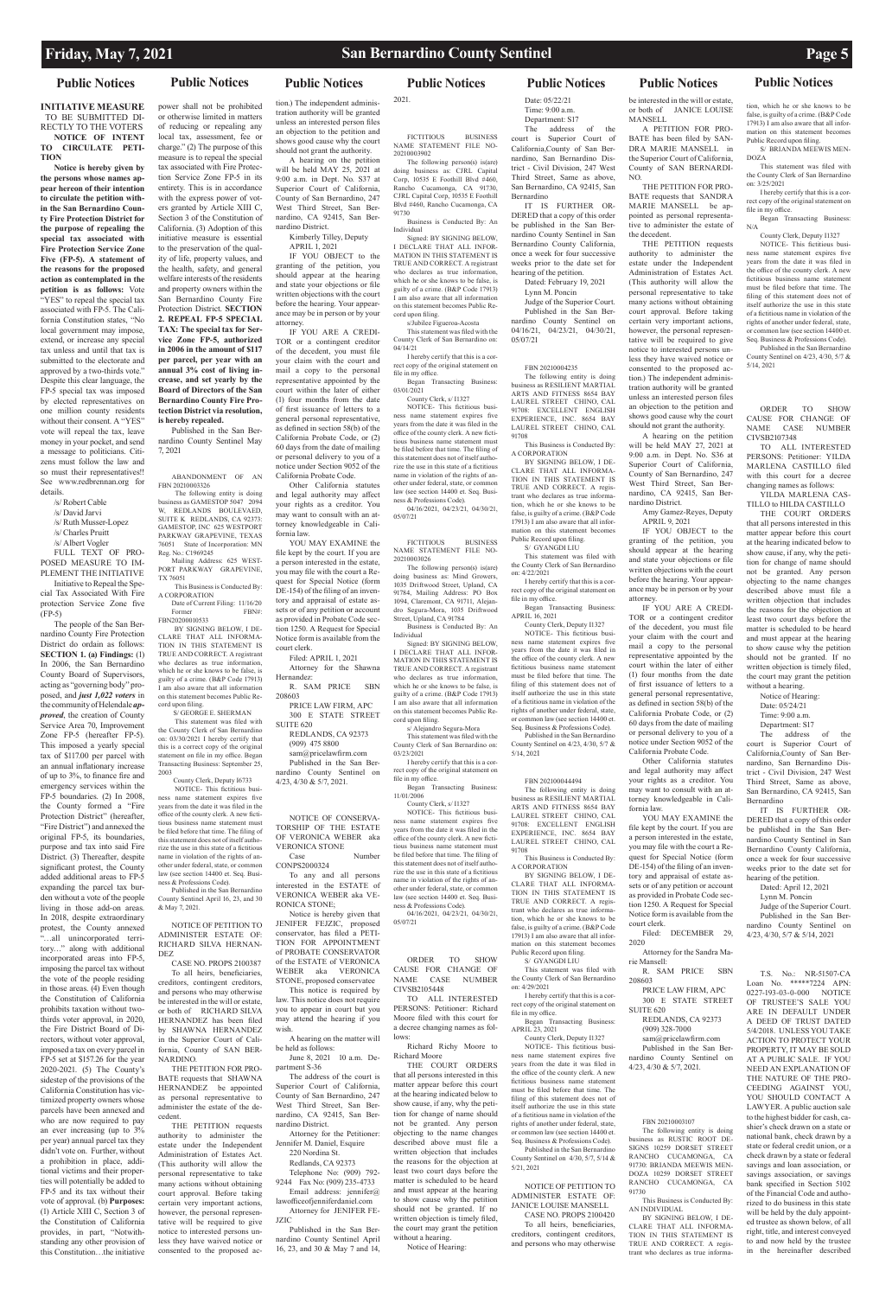## **Friday, May 7, 2021 San Bernardino County Sentinel Page 5**

**Public Notices Public Notices Public Notices Public Notices Public Notices Public Notices Public Notices**

power shall not be prohibited or otherwise limited in matters of reducing or repealing any local tax, assessment, fee or charge." (2) The purpose of this measure is to repeal the special tax associated with Fire Protection Service Zone FP-5 in its entirety. This is in accordance with the express power of voters granted by Article XIII C, Section 3 of the Constitution of California. (3) Adoption of this initiative measure is essential to the preservation of the quality of life, property values, and

Former FBN#: FBN20200010533

**is hereby repealed.** 

7, 2021

FBN 20210003326 The following entity is doing business as GAMESTOP 5047 2094

W, REDLANDS BOULEVAED, SUITE K REDLANDS, CA 92373: GAMESTOP, INC 625 WESTPORT PARKWAY GRAPEVINE, TEXAS 76051 State of Incorporation: MN Reg. No.: C1969245

Mailing Address: 625 WEST-PORT PARKWAY GRAPEVINE, TX 76051

 This Business is Conducted By: A CORPORATION Date of Current Filing: 11/16/20

 BY SIGNING BELOW, I DE-CLARE THAT ALL INFORMA-TION IN THIS STATEMENT IS TRUE AND CORRECT. A registrant who declares as true information, which he or she knows to be false, is guilty of a crime. (B&P Code 17913) I am also aware that all information on this statement becomes Public Re-

THE PETITION requests authority to administer the estate under the Independent Administration of Estates Act. (This authority will allow the personal representative to take many actions without obtaining court approval. Before taking certain very important actions, however, the personal representative will be required to give notice to interested persons unless they have waived notice or consented to the proposed ac-

cord upon filing. S/ GEORGE E. SHERMAN This statement was filed with the County Clerk of San Bernardino on: 03/30/2021 I hereby certify that this is a correct copy of the original statement on file in my office. Began

Transacting Business: September 25, 2003 County Clerk, Deputy I6733 NOTICE- This fictitious business name statement expires five years from the date it was filed in the office of the county clerk. A new fictitious business name statement must be filed before that time. The filing of this statement does not of itself authorize the use in this state of a fictitious name in violation of the rights of another under federal, state, or common law (see section 14400 et. Seq. Business & Professions Code).

the health, safety, and general welfare interests of the residents and property owners within the San Bernardino County Fire Protection District. **SECTION 2. REPEAL FP-5 SPECIAL TAX: The special tax for Service Zone FP-5, authorized in 2006 in the amount of \$117 per parcel, per year with an annual 3% cost of living in**attorney. IF YOU ARE A CREDI-

> YOU MAY EXAMINE the file kept by the court. If you are a person interested in the estate, you may file with the court a Request for Special Notice (form DE-154) of the filing of an inventory and appraisal of estate assets or of any petition or account as provided in Probate Code section 1250. A Request for Special Notice form is available from the

Published in the San Bernardino County Sentinel April 16, 23, and 30 & May 7, 2021.

NOTICE OF PETITION TO ADMINISTER ESTATE OF: RICHARD SILVA HERNAN-DEZ CASE NO. PROPS 2100387

**crease, and set yearly by the Board of Directors of the San Bernardino County Fire Protection District via resolution,**  Published in the San Bernardino County Sentinel May ABANDONMENT OF AN general personal representative,

To all heirs, beneficiaries, creditors, contingent creditors, and persons who may otherwise be interested in the will or estate, or both of RICHARD SILVA HERNANDEZ has been filed by SHAWNA HERNANDEZ in the Superior Court of California, County of SAN BER-NARDINO.

This notice is required by law. This notice does not require you to appear in court but you

THE PETITION FOR PRO-BATE requests that SHAWNA HERNANDEZ be appointed as personal representative to administer the estate of the decedent.

Superior Court of California. County of San Bernardino, 247 West Third Street, San Bernardino, CA 92415, San Bernardino District. Attorney for the Petitioner:

Business is Conducted By: An Individual Signed: BY SIGNING BELOW,

# tion.) The independent adminis-

s/Jubilee Figueroa-Acosta This statement was filed with the County Clerk of San Bernardino on:  $04/14/21$ 

tration authority will be granted unless an interested person files an objection to the petition and shows good cause why the court should not grant the authority. A hearing on the petition

> County Clerk, s/ I1327 NOTICE- This fictitious busiss name statement expires five

will be held MAY 25, 2021 at 9:00 a.m. in Dept. No. S37 at Superior Court of California, County of San Bernardino, 247 West Third Street, San Bernardino, CA 92415, San Bernardino District. Kimberly Tilley, Deputy

> The following person(s) is(are) doing business as: Mind Growers, 1035 Driftwood Street, Upland, CA 91784, Mailing Address: PO Box 1094, Claremont, CA 91711, Alejandro Segura-Mora, 1035 Driftwood Street, Upland, CA 91784

APRIL 1, 2021 IF YOU OBJECT to the granting of the petition, you

> Business is Conducted By: An Individual Signed: BY SIGNING BELOW,

should appear at the hearing and state your objections or file written objections with the court before the hearing. Your appearance may be in person or by your

TOR or a contingent creditor of the decedent, you must file your claim with the court and mail a copy to the personal representative appointed by the court within the later of either (1) four months from the date of first issuance of letters to a

> NOTICE- This fictitious busiss name statement expires five years from the date it was filed in the office of the county clerk. A new fictitious business name statement must be filed before that time. The filing of this statement does not of itself authorize the use in this state of a fictitious name in violation of the rights of another under federal, state, or common law (see section 14400 et. Seq. Business & Professions Code).

as defined in section 58(b) of the California Probate Code, or (2) 60 days from the date of mailing or personal delivery to you of a notice under Section 9052 of the California Probate Code. Other California statutes

and legal authority may affect your rights as a creditor. You may want to consult with an attorney knowledgeable in California law.

Date: 05/22/21 Time: 9:00 a.m. Department: S17

court clerk. Filed: APRIL 1, 2021 Attorney for the Shawna

Hernandez: R. SAM PRICE SBN 208603

PRICE LAW FIRM, APC 300 E STATE STREET SUITE 620

REDLANDS, CA 92373 (909) 475 8800 sam@pricelawfirm.com

Published in the San Bernardino County Sentinel on 4/23, 4/30 & 5/7, 2021.

NOTICE OF CONSERVA-TORSHIP OF THE ESTATE OF VERONICA WEBER aka

VERONICA STONE Case Number CONPS2000324 To any and all persons interested in the ESTATE of

BY SIGNING BELOW I DE-CLARE THAT ALL INFORMA-TION IN THIS STATEMENT IS TRUE AND CORRECT. A registrant who declares as true information, which he or she knows to be false, is guilty of a crime. (B&P Code 17913) I am also aware that all information on this statement becomes Public Record upon filing.

VERONICA WEBER aka VE-RONICA STONE; Notice is hereby given that

JENIFER FEJZIC, proposed conservator, has filed a PETI-TION FOR APPOINTMENT of PROBATE CONSERVATOR of the ESTATE of VERONICA WEBER aka VERONICA STONE, proposed conservatee

may attend the hearing if you wish. A hearing on the matter will

be held as follows: June 8, 2021 10 a.m. De-

partment S-36 The address of the court is

BY SIGNING BELOW, I DE-CLARE THAT ALL INFORMA-TION IN THIS STATEMENT IS TRUE AND CORRECT. A registrant who declares as true information, which he or she knows to be false, is guilty of a crime. (B&P Code 17913) I am also aware that all information on this statement becomes Public Record upon filing.

Jennifer M. Daniel, Esquire 220 Nordina St.

Redlands, CA 92373 Telephone No: (909) 792- 9244 Fax No: (909) 235-4733 Email address: jennifer@ lawofficeofjenniferdaniel.com

Attorney for JENIFER FE-JZIC

Published in the San Bernardino County Sentinel April 16, 23, and 30 & May 7 and 14,

2021.

FICTITIOUS BUSINESS NAME STATEMENT FILE NO-20210003902

The following person(s) is(are) doing business as: CJRL Capital Corp, 10535 E Foothill Blvd #460, Rancho Cucamonga, CA 91730, CJRL Capital Corp, 10535 E Foothill Blvd #460, Rancho Cucamonga, CA 91730

I DECLARE THAT ALL INFOR-MATION IN THIS STATEMENT IS TRUE AND CORRECT. A registrant who declares as true information which he or she knows to be false, is guilty of a crime. (B&P Code 17913) I am also aware that all information on this statement becomes Public Record upon filing.

I hereby certify that this is a correct copy of the original statement on file in my office.

Began Transacting Business: 03/01/2021

years from the date it was filed in the office of the county clerk. A new fictitious business name statement must be filed before that time. The filing of this statement does not of itself authorize the use in this state of a fictitious name in violation of the rights of another under federal, state, or common law (see section 14400 et. Seq. Business & Professions Code). 04/16/2021, 04/23/21, 04/30/21,

05/07/21

FICTITIOUS BUSINESS NAME STATEMENT FILE NO-20210003026

> rect copy of the original statement on<br>file in my office. 300 E STATE STREET SUITE 620

I DECLARE THAT ALL INFOR-MATION IN THIS STATEMENT IS TRUE AND CORRECT. A registrant who declares as true information. which he or she knows to be false, is guilty of a crime. (B&P Code 17913) I am also aware that all information on this statement becomes Public Record upon filing.

s/ Alejandro Segura-Mora This statement was filed with the

County Clerk of San Bernardino on:  $03/23/2021$ I hereby certify that this is a cor-

rect copy of the original statement on file in my office.

Began Transacting Business: 11/01/2006

County Clerk, s/ I1327

04/16/2021, 04/23/21, 04/30/21, 05/07/21

### ORDER TO SHOW CAUSE FOR CHANGE OF<br>NAME CASE NUMBER CASE NUMBER CIVSB2105448

TO ALL INTERESTED PERSONS: Petitioner: Richard

Moore filed with this court for a decree changing names as follows:

Richard Richy Moore to Richard Moore

T.S. No.: NR-51507-CA Loan No. \*\*\*\*\*7224 APN: 0227-193-03-0-000 NOTICE OF TRUSTEE'S SALE YOU ARE IN DEFAULT UNDER

written objection is timely filed, the court may grant the petition without a hearing.

Notice of Hearing:

The address of the court is Superior Court of California,County of San Bernardino, San Bernardino District - Civil Division, 247 West Third Street, Same as above, San Bernardino, CA 92415, San Bernardino

IT IS FURTHER OR-DERED that a copy of this order be published in the San Bernardino County Sentinel in San Bernardino County California, once a week for four successive weeks prior to the date set for hearing of the petition.

FULL TEXT OF PRO-POSED MEASURE TO IM-PLEMENT THE INITIATIVE Dated: February 19, 2021

Lynn M. Poncin Judge of the Superior Court.

Published in the San Bernardino County Sentinel on 04/16/21, 04/23/21, 04/30/21, 05/07/21

FBN 20210004235

The following entity is doing business as RESILIENT MARTIAL ARTS AND FITNESS 8654 BAY LAUREL STREET CHINO, CAL 91708: EXCELLENT ENGLISH EXPERIENCE, INC. 8654 BAY LAUREL STREET CHINO, CAL 91708

This Business is Conducted By: A CORPORATION

S/ GYANGDI LIU This statement was filed with

the County Clerk of San Bernardino on: 4/22/2021 I hereby certify that this is a cor-

THE COURT ORDERS that all persons interested in this matter appear before this court at the hearing indicated below to show cause, if any, why the petition for change of name should not be granted. Any person objecting to the name changes described above must file a written objection that includes the reasons for the objection at least two court days before the matter is scheduled to be heard and must appear at the hearing to show cause why the petition should not be granted. If no 5/21, 2021

rect copy of the original statement on file in my office.

Began Transacting Business: APRIL 16, 2021

County Clerk, Deputy I1327 NOTICE- This fictitious business name statement expires five years from the date it was filed in the office of the county clerk. A new fictitious business name statement

must be filed before that time. The filing of this statement does not of itself authorize the use in this state of a fictitious name in violation of the rights of another under federal, state, or common law (see section 14400 et. Seq. Business & Professions Code).

Published in the San Bernardino County Sentinel on 4/23, 4/30, 5/7 & 5/14, 2021

## FBN 202100044494

The following entity is doing business as RESILIENT MARTIAL ARTS AND FITNESS 8654 BAY LAUREL STREET CHINO, CAL EXCELLENT ENGLISH EXPERIENCE, INC. 8654 BAY LAUREL STREET CHINO, CAL 91708

This Business is Conducted By: A CORPORATION

S/ GYANGDI LIU

This statement was filed with the County Clerk of San Bernardino on: 4/29/2021 I hereby certify that this is a cor-

file in my office. Began Transacting Business: APRIL 23, 2021

County Clerk, Deputy I1327 NOTICE- This fictitious business name statement expires five years from the date it was filed in the office of the county clerk. A new fictitious business name statement must be filed before that time. The filing of this statement does not of itself authorize the use in this state of a fictitious name in violation of the rights of another under federal, state or common law (see section 14400 et. Seq. Business & Professions Code). Published in the San Bernardino County Sentinel on 4/30, 5/7, 5/14 &

NOTICE OF PETITION TO ADMINISTER ESTATE OF: JANICE LOUISE MANSELL CASE NO. PROPS 2100420 To all heirs, beneficiaries, creditors, contingent creditors, and persons who may otherwise

### be interested in the will or estate, or both of JANICE LOUISE MANSELL A PETITION FOR PRO-

BATE has been filed by SAN-DRA MARIE MANSELL in the Superior Court of California, County of SAN BERNARDI-NO. THE PETITION FOR PRO-

BATE requests that SANDRA MARIE MANSELL be appointed as personal representative to administer the estate of the decedent. THE PETITION requests

authority to administer the estate under the Independent Administration of Estates Act. (This authority will allow the personal representative to take many actions without obtaining court approval. Before taking certain very important actions, however, the personal representative will be required to give notice to interested persons unless they have waived notice or consented to the proposed action.) The independent administration authority will be granted unless an interested person files an objection to the petition and shows good cause why the court should not grant the authority. A hearing on the petition will be held MAY 27, 2021 at 9:00 a.m. in Dept. No. S36 at Superior Court of California, County of San Bernardino, 247 West Third Street, San Bernardino, CA 92415, San Ber-

nardino District.

Amy Gamez-Reyes, Deputy APRIL 9, 2021

IF YOU OBJECT to the granting of the petition, you should appear at the hearing and state your objections or file written objections with the court before the hearing. Your appearance may be in person or by your

attorney.

IF YOU ARE A CREDI-TOR or a contingent creditor of the decedent, you must file your claim with the court and mail a copy to the personal representative appointed by the court within the later of either (1) four months from the date of first issuance of letters to a general personal representative, as defined in section 58(b) of the California Probate Code, or (2) 60 days from the date of mailing or personal delivery to you of a notice under Section 9052 of the California Probate Code. Other California statutes and legal authority may affect your rights as a creditor. You may want to consult with an attorney knowledgeable in Cali-

fornia law.

YOU MAY EXAMINE the file kept by the court. If you are a person interested in the estate, you may file with the court a Request for Special Notice (form DE-154) of the filing of an inventory and appraisal of estate assets or of any petition or account as provided in Probate Code section 1250. A Request for Special Notice form is available from the

court clerk.

2020

Attorney for the Sandra Ma-

rie Mansell:

R. SAM PRICE SBN

208603

PRICE LAW FIRM, APC

REDLANDS, CA 92373 (909) 328-7000 sam@pricelawfirm.com Published in the San Ber-

Filed: DECEMBER 29,

nardino County Sentinel on 4/23, 4/30 & 5/7, 2021.

## FBN 20210003107

The following entity is doing business as RUSTIC ROOT DE-SIGNS 10259 DORSET STREET RANCHO CUCAMONGA CA 91730: BRIANDA MEEWIS MEN-DOZA 10259 DORSET STREET RANCHO CUCAMONGA, CA 91730

This Business is Conducted By: AN INDIVIDUAL

BY SIGNING BELOW, I DE-CLARE THAT ALL INFORMA-TION IN THIS STATEMENT IS TRUE AND CORRECT. A registrant who declares as true informa-

tion, which he or she knows to be false, is guilty of a crime. (B&P Code 17913) I am also aware that all information on this statement becomes Public Record upon filing.

S/ BRIANDA MEEWIS MEN-

DOZA

This statement was filed with the County Clerk of San Bernardino

on: 3/25/2021

I hereby certify that this is a correct copy of the original statement on

file in my office.

Began Transacting Business:

N/A

County Clerk, Deputy I1327 NOTICE- This fictitious business name statement expires five years from the date it was filed in the office of the county clerk. A new fictitious business name statement must be filed before that time. The filing of this statement does not of itself authorize the use in this state of a fictitious name in violation of the rights of another under federal, state, or common law (see section 14400 et. Seq. Business & Professions Code). Published in the San Bernardino County Sentinel on 4/23, 4/30, 5/7 &

5/14, 2021

ORDER TO SHOW CAUSE FOR CHANGE OF NAME CASE NUMBER

CIVSB2107348

TO ALL INTERESTED PERSONS: Petitioner: YILDA MARLENA CASTILLO filed with this court for a decree changing names as follows: YILDA MARLENA CAS-TILLO to HILDA CASTILLO THE COURT ORDERS that all persons interested in this matter appear before this court at the hearing indicated below to show cause, if any, why the petition for change of name should not be granted. Any person objecting to the name changes described above must file a written objection that includes the reasons for the objection at least two court days before the matter is scheduled to be heard and must appear at the hearing to show cause why the petition should not be granted. If no written objection is timely filed. the court may grant the petition

without a hearing. Notice of Hearing: Date: 05/24/21 Time: 9:00 a.m. Department: S17 The address of the court is Superior Court of California,County of San Bernardino, San Bernardino District - Civil Division, 247 West Third Street, Same as above, San Bernardino, CA 92415, San

Bernardino

IT IS FURTHER OR-DERED that a copy of this order be published in the San Bernardino County Sentinel in San Bernardino County California, once a week for four successive weeks prior to the date set for hearing of the petition. Dated: April 12, 2021 Lynn M. Poncin Judge of the Superior Court. Published in the San Bernardino County Sentinel on 4/23, 4/30, 5/7 & 5/14, 2021

A DEED OF TRUST DATED 5/4/2018. UNLESS YOU TAKE ACTION TO PROTECT YOUR PROPERTY, IT MAY BE SOLD AT A PUBLIC SALE. IF YOU NEED AN EXPLANATION OF THE NATURE OF THE PRO-CEEDING AGAINST YOU, YOU SHOULD CONTACT A LAWYER. A public auction sale to the highest bidder for cash, cashier's check drawn on a state or national bank, check drawn by a state or federal credit union, or a check drawn by a state or federal savings and loan association, or savings association, or savings bank specified in Section 5102 of the Financial Code and authorized to do business in this state will be held by the duly appointed trustee as shown below, of all right, title, and interest conveyed to and now held by the trustee in the hereinafter described

**INITIATIVE MEASURE** TO BE SUBMITTED DI-RECTLY TO THE VOTERS **NOTICE OF INTENT TO CIRCULATE PETI-TION**

**Notice is hereby given by the persons whose names appear hereon of their intention to circulate the petition within the San Bernardino County Fire Protection District for the purpose of repealing the special tax associated with Fire Protection Service Zone Five (FP-5). A statement of the reasons for the proposed action as contemplated in the petition is as follows:** Vote "YES" to repeal the special tax associated with FP-5. The California Constitution states, "No local government may impose, extend, or increase any special tax unless and until that tax is submitted to the electorate and approved by a two-thirds vote." Despite this clear language, the FP-5 special tax was imposed by elected representatives on one million county residents without their consent. A "YES" vote will repeal the tax, leave money in your pocket, and send a message to politicians. Citizens must follow the law and so must their representatives!! See www.redbrennan.org for details.

/s/ Robert Cable

- /s/ David Jarvi
- /s/ Ruth Musser-Lopez
- /s/ Charles Pruitt
- /s/ Albert Vogler

Initiative to Repeal the Special Tax Associated With Fire protection Service Zone five (FP-5)

The people of the San Bernardino County Fire Protection District do ordain as follows: **SECTION 1. (a) Findings:** (1) In 2006, the San Bernardino County Board of Supervisors, acting as "governing body" proposed, and *just 1,022 voters* in the community of Helendale *approved*, the creation of County Service Area 70, Improvement Zone FP-5 (hereafter FP-5). This imposed a yearly special tax of \$117.00 per parcel with an annual inflationary increase of up to 3%, to finance fire and emergency services within the FP-5 boundaries. (2) In 2008, the County formed a "Fire Protection District" (hereafter, "Fire District") and annexed the original FP-5, its boundaries, purpose and tax into said Fire District. (3) Thereafter, despite significant protest, the County added additional areas to FP-5 expanding the parcel tax burden without a vote of the people living in those add-on areas. In 2018, despite extraordinary protest, the County annexed "…all unincorporated territory…" along with additional incorporated areas into FP-5. imposing the parcel tax without the vote of the people residing in those areas. (4) Even though

# the Constitution of California prohibits taxation without two-

thirds voter approval, in 2020, the Fire District Board of Directors, without voter approval, imposed a tax on every parcel in FP-5 set at \$157.26 for the year 2020-2021. (5) The County's sidestep of the provisions of the California Constitution has victimized property owners whose parcels have been annexed and who are now required to pay an ever increasing (up to 3% per year) annual parcel tax they didn't vote on. Further, without a prohibition in place, additional victims and their properties will potentially be added to FP-5 and its tax without their vote of approval. (b) **Purposes:** (1) Article XIII C, Section 3 of the Constitution of California provides, in part, "Notwithstanding any other provision of this Constitution…the initiative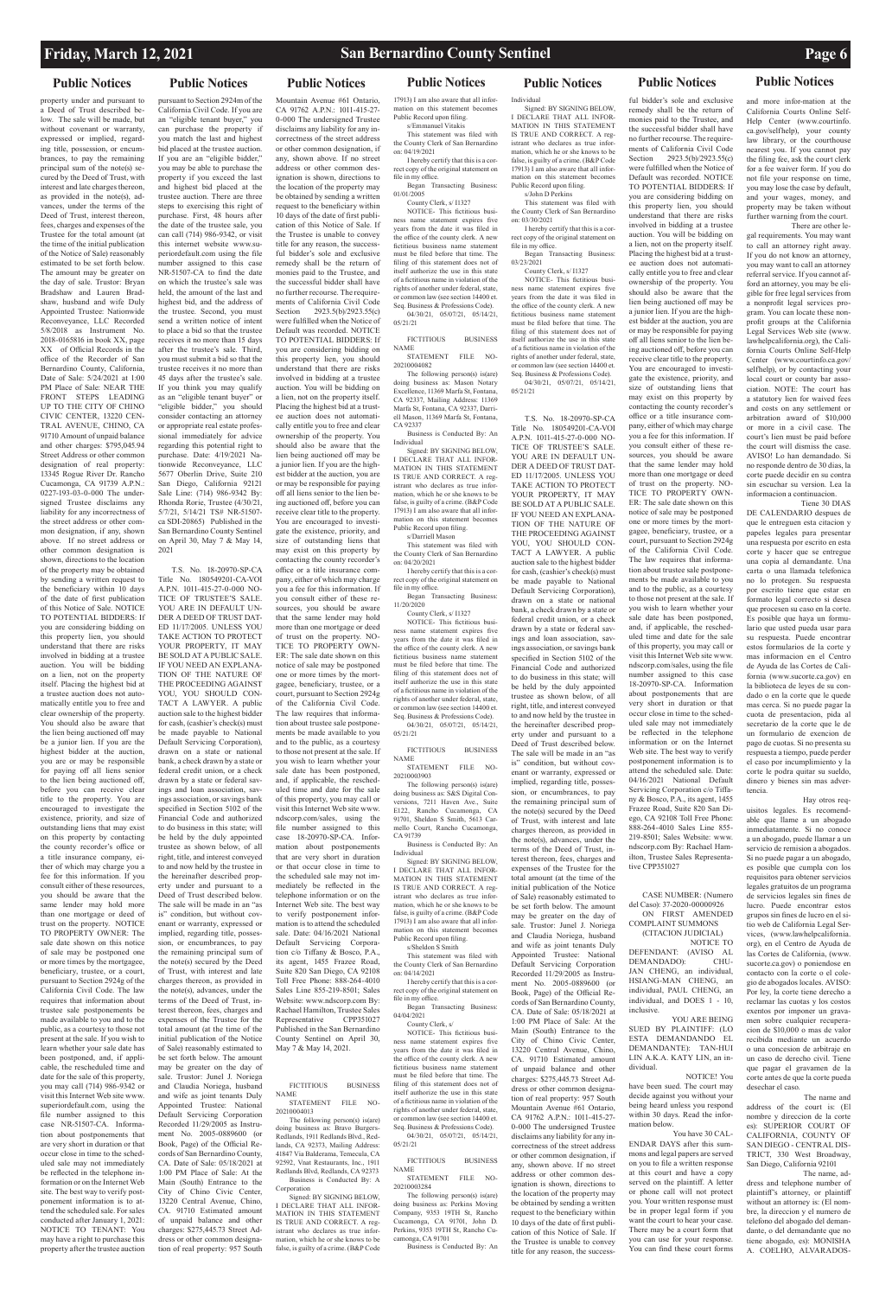# **Public Notices Public Notices Public Notices Public Notices Public Notices Public Notices Public Notices**

property under and pursuant to a Deed of Trust described below. The sale will be made, but without covenant or warranty, expressed or implied, regarding title, possession, or encumbrances, to pay the remaining principal sum of the note(s) secured by the Deed of Trust, with interest and late charges thereon, as provided in the note(s), advances, under the terms of the Deed of Trust, interest thereon, fees, charges and expenses of the Trustee for the total amount (at the time of the initial publication of the Notice of Sale) reasonably estimated to be set forth below. The amount may be greater on the day of sale. Trustor: Bryan Bradshaw and Lauren Bradshaw, husband and wife Duly Appointed Trustee: Nationwide Reconveyance, LLC Recorded 5/8/2018 as Instrument No. 2018-0165816 in book XX, page XX of Official Records in the office of the Recorder of San Bernardino County, California, Date of Sale: 5/24/2021 at 1:00 PM Place of Sale: NEAR THE FRONT STEPS LEADING UP TO THE CITY OF CHINO CIVIC CENTER, 13220 CEN-TRAL AVENUE, CHINO, CA 91710 Amount of unpaid balance and other charges: \$795,045.94 Street Address or other common designation of real property: 13345 Rogue River Dr. Rancho Cucamonga, CA 91739 A.P.N.: 0227-193-03-0-000 The undersigned Trustee disclaims any liability for any incorrectness of the street address or other common designation, if any, shown above. If no street address or other common designation is shown, directions to the location of the property may be obtained by sending a written request to the beneficiary within 10 days of the date of first publication of this Notice of Sale. NOTICE TO POTENTIAL BIDDERS: If you are considering bidding on this property lien, you should understand that there are risks involved in bidding at a trustee auction. You will be bidding on a lien, not on the property itself. Placing the highest bid at a trustee auction does not automatically entitle you to free and clear ownership of the property. You should also be aware that the lien being auctioned off may be a junior lien. If you are the highest bidder at the auction, you are or may be responsible for paying off all liens senior to the lien being auctioned off, before you can receive clear title to the property. You are encouraged to investigate the existence, priority, and size of outstanding liens that may exist on this property by contacting the county recorder's office or a title insurance company, either of which may charge you a fee for this information. If you consult either of these resources, you should be aware that the same lender may hold more than one mortgage or deed of trust on the property. NOTICE TO PROPERTY OWNER: The sale date shown on this notice of sale may be postponed one or more times by the mortgagee, beneficiary, trustee, or a court, pursuant to Section 2924g of the California Civil Code. The law requires that information about trustee sale postponements be made available to you and to the public, as a courtesy to those not present at the sale. If you wish to learn whether your sale date has been postponed, and, if applicable, the rescheduled time and date for the sale of this property, you may call (714) 986-9342 or visit this Internet Web site www. superiordefault.com, using the file number assigned to this case NR-51507-CA. Information about postponements that are very short in duration or that occur close in time to the scheduled sale may not immediately be reflected in the telephone information or on the Internet Web site. The best way to verify postponement information is to attend the scheduled sale. For sales conducted after January 1, 2021: NOTICE TO TENANT: You may have a right to purchase this property after the trustee auction

### pursuant to Section 2924m of the California Civil Code. If you are an "eligible tenant buyer," you can purchase the property if you match the last and highest bid placed at the trustee auction. If you are an "eligible bidder," you may be able to purchase the property if you exceed the last and highest bid placed at the trustee auction. There are three steps to exercising this right of purchase. First, 48 hours after the date of the trustee sale, you can call (714) 986-9342, or visit this internet website www.superiordefault.com using the file number assigned to this case NR-51507-CA to find the date on which the trustee's sale was held, the amount of the last and highest bid, and the address of the trustee. Second, you must send a written notice of intent to place a bid so that the trustee receives it no more than 15 days after the trustee's sale. Third, you must submit a bid so that the trustee receives it no more than 45 days after the trustee's sale. If you think you may qualify as an "eligible tenant buyer" or "eligible bidder," you should consider contacting an attorney or appropriate real estate professional immediately for advice regarding this potential right to purchase. Date: 4/19/2021 Nationwide Reconveyance, LLC 5677 Oberlin Drive, Suite 210 San Diego, California 92121 Sale Line: (714) 986-9342 By: Rhonda Rorie, Trustee (4/30/21, 5/7/21, 5/14/21 TS# NR-51507 ca SDI-20865) Published in the San Bernardino County Sentinel on April 30, May 7 & May 14, 2021

Rachael Hamilton, Trustee Sales<br>Representative CPP351027 Representative Published in the San Bernardino County Sentinel on April 30, May 7 & May 14, 2021.

STATEMENT FILE NO-20210004013

The following person(s) is(are) doing business as: S&S Digital Conversions, 7211 Haven Ave., Suite<br>E122, Rancho Cucamonga, CA E122, Rancho Cucamonga, 91701, Sheldon S Smith, 5613 Carmello Court, Rancho Cucamonga, CA 91739

 $04/04/2021$ County Clerk, s/ NOTICE- This fictitious busi-

Mountain Avenue #61 Ontario, CA 91762 A.P.N.: 1011-415-27-

T.S. No. 18-20970-SP-CA Title No. 180549201-CA-VOI A.P.N. 1011-415-27-0-000 NO-TICE OF TRUSTEE'S SALE. YOU ARE IN DEFAULT UN-DER A DEED OF TRUST DAT-ED 11/17/2005. UNLESS YOU TAKE ACTION TO PROTECT YOUR PROPERTY. IT MAY BE SOLD AT A PUBLIC SALE. IF YOU NEED AN EXPLANA-TION OF THE NATURE OF THE PROCEEDING AGAINST YOU, YOU SHOULD CON-TACT A LAWYER. A public auction sale to the highest bidder for cash, (cashier's check(s) must be made payable to National Default Servicing Corporation), drawn on a state or national bank, a check drawn by a state or federal credit union, or a check drawn by a state or federal savings and loan association, savings association, or savings bank specified in Section 5102 of the Financial Code and authorized to do business in this state; will be held by the duly appointed trustee as shown below, of all right, title, and interest conveyed to and now held by the trustee in the hereinafter described property under and pursuant to a Deed of Trust described below. The sale will be made in an "as is" condition, but without covenant or warranty, expressed or implied, regarding title, possession, or encumbrances, to pay the remaining principal sum of the note(s) secured by the Deed of Trust, with interest and late charges thereon, as provided in the note(s), advances, under the terms of the Deed of Trust, interest thereon, fees, charges and expenses of the Trustee for the total amount (at the time of the initial publication of the Notice of Sale) reasonably estimated to be set forth below. The amount may be greater on the day of sale. Trustor: Junel J. Noriega and Claudia Noriega, husband and wife as joint tenants Duly Appointed Trustee: National Default Servicing Corporation Recorded 11/29/2005 as Instrument No. 2005-0889600 (or Book, Page) of the Official Records of San Bernardino County, CA. Date of Sale: 05/18/2021 at 1:00 PM Place of Sale: At the Main (South) Entrance to the City of Chino Civic Center, 13220 Central Avenue, Chino, CA. 91710 Estimated amount of unpaid balance and other charges: \$275,445.73 Street Address or other common designation of real property: 957 South Website: www.ndscorp.com By:

0-000 The undersigned Trustee disclaims any liability for any incorrectness of the street address or other common designation, if any, shown above. If no street address or other common designation is shown, directions to the location of the property may be obtained by sending a written request to the beneficiary within 10 days of the date of first publication of this Notice of Sale. If the Trustee is unable to convey title for any reason, the successful bidder's sole and exclusive remedy shall be the return of monies paid to the Trustee, and the successful bidder shall have no further recourse. The requirements of California Civil Code Section 2923.5(b)/2923.55(c) were fulfilled when the Notice of Default was recorded. NOTICE TO POTENTIAL BIDDERS: If you are considering bidding on this property lien, you should understand that there are risks involved in bidding at a trustee auction. You will be bidding on a lien, not on the property itself. Placing the highest bid at a trustee auction does not automatically entitle you to free and clear ownership of the property. You should also be aware that the lien being auctioned off may be a junior lien. If you are the highest bidder at the auction, you are or may be responsible for paying off all liens senior to the lien being auctioned off, before you can receive clear title to the property. You are encouraged to investigate the existence, priority, and size of outstanding liens that may exist on this property by contacting the county recorder's office or a title insurance company, either of which may charge you a fee for this information. If you consult either of these resources, you should be aware that the same lender may hold more than one mortgage or deed of trust on the property. NO-TICE TO PROPERTY OWN-ER: The sale date shown on this notice of sale may be postponed one or more times by the mortgagee, beneficiary, trustee, or a court, pursuant to Section 2924g of the California Civil Code. The law requires that information about trustee sale postponements be made available to you and to the public, as a courtesy to those not present at the sale. If you wish to learn whether your sale date has been postponed, and, if applicable, the rescheduled time and date for the sale of this property, you may call or visit this Internet Web site www. ndscorp.com/sales, using the file number assigned to this case 18-20970-SP-CA. Information about postponements that are very short in duration or that occur close in time to the scheduled sale may not immediately be reflected in the telephone information or on the Internet Web site. The best way to verify postponement information is to attend the scheduled sale. Date: 04/16/2021 National Default Servicing Corporation c/o Tiffany & Bosco, P.A., its agent, 1455 Frazee Road, Suite 820 San Diego, CA 92108 Toll Free Phone: 888-264-4010 Sales Line 855-219-8501; Sales

FICTITIOUS BUSINESS NAME

The following person(s) is(are) doing business as: Bravo Burgers-Redlands, 1911 Redlands Blvd., Redlands, CA 92373, Mailing Address: 41847 Via Balderama, Temecula, CA 92592, Vnat Restaurants, Inc., 1911 Redlands Blvd, Redlands, CA 92373 Business is Conducted By: A Corporation

Signed: BY SIGNING BELOW, I DECLARE THAT ALL INFOR-MATION IN THIS STATEMENT IS TRUE AND CORRECT. A registrant who declares as true information, which he or she knows to be false, is guilty of a crime. (B&P Code

17913) I am also aware that all information on this statement becomes Public Record upon filing. s/Emmanuel Vitakis

This statement was filed with the County Clerk of San Bernardino on: 04/19/2021

I hereby certify that this is a corect copy of the original statement on file in my office. Began Transacting Business:

01/01/2005 County Clerk, s/ I1327

NOTICE- This fictitious business name statement expires five years from the date it was filed in the office of the county clerk. A new fictitious business name statement must be filed before that time. The filing of this statement does not of itself authorize the use in this state of a fictitious name in violation of the rights of another under federal, state, or common law (see section 14400 et. Seq. Business & Professions Code). 04/30/21, 05/07/21, 05/14/21, 05/21/21

FICTITIOUS BUSINESS NAME STATEMENT FILE NO-

20210004082 The following person(s) is(are) doing business as: Mason Notary Excellence, 11369 Marfa St, Fontana, CA 92337, Mailing Address: 11369 Marfa St, Fontana, CA 92337, Darriell Mason, 11369 Marfa St, Fontana, CA 92337

Business is Conducted By: An Individual

Signed: BY SIGNING BELOW, I DECLARE THAT ALL INFOR-MATION IN THIS STATEMENT IS TRUE AND CORRECT. A registrant who declares as true information, which he or she knows to be false, is guilty of a crime. (B&P Code 17913) I am also aware that all information on this statement becomes Public Record upon filing. s/Darriell Mason

This statement was filed with the County Clerk of San Bernardino on: 04/20/2021

I hereby certify that this is a correct copy of the original statement on file in my office.

Began Transacting Business: 11/20/2020 County Clerk, s/ I1327

NOTICE- This fictitious business name statement expires five years from the date it was filed in the office of the county clerk. A new fictitious business name statement must be filed before that time. The filing of this statement does not of itself authorize the use in this state of a fictitious name in violation of the rights of another under federal, state, or common law (see section 14400 et. Seq. Business & Professions Code). 04/30/21, 05/07/21, 05/14/21, 05/21/21

FICTITIOUS BUSINESS NAME STATEMENT FILE NO-20210003903

Business is Conducted By: An Individual

Signed: BY SIGNING BELOW, I DECLARE THAT ALL INFOR-MATION IN THIS STATEMENT IS TRUE AND CORRECT. A registrant who declares as true information, which he or she knows to be false, is guilty of a crime. (B&P Code 17913) I am also aware that all information on this statement becomes Public Record upon filing. s/Sheldon S Smith

This statement was filed with the County Clerk of San Bernardino on: 04/14/2021

I hereby certify that this is a correct copy of the original statement on file in my office. Began Transacting Business:

ness name statement expires five years from the date it was filed in the office of the county clerk. A new fictitious business name statement must be filed before that time. The filing of this statement does not of itself authorize the use in this state of a fictitious name in violation of the rights of another under federal, state, or common law (see section 14400 et. Seq. Business & Professions Code). 04/30/21, 05/07/21, 05/14/21, 05/21/21

| <b>FICTITIOUS</b>                |       | <b>BUSINESS</b> |
|----------------------------------|-------|-----------------|
| NAME                             |       |                 |
| <b>STATEMENT</b>                 | FILE. | $NO-$           |
| 20210003284                      |       |                 |
| The following person(s) is (are) |       |                 |

doing business as: Perkins Moving Company, 9353 19TH St, Rancho Cucamonga, CA 91701, John D. Perkins, 9353 19TH St, Rancho Cucamonga, CA 91701

Business is Conducted By: An

Individual

Signed: BY SIGNING BELOW, I DECLARE THAT ALL INFOR-MATION IN THIS STATEMENT IS TRUE AND CORRECT. A registrant who declares as true information, which he or she knows to be false, is guilty of a crime. (B&P Code 17913) I am also aware that all information on this statement becomes Public Record upon filing. s/John D Perkins

This statement was filed with the County Clerk of San Bernardino

on: 03/30/2021

I hereby certify that this is a correct copy of the original statement on

file in my office.

 $03/23/2021$ 

Began Transacting Business:

County Clerk, s/ I1327 NOTICE- This fictitious business name statement expires five years from the date it was filed in the office of the county clerk. A new fictitious business name statement must be filed before that time. The filing of this statement does not of itself authorize the use in this state of a fictitious name in violation of the rights of another under federal, state, or common law (see section 14400 et. Seq. Business & Professions Code). 04/30/21, 05/07/21, 05/14/21,

05/21/21

T.S. No. 18-20970-SP-CA Title No. 180549201-CA-VOI A.P.N. 1011-415-27-0-000 NO-TICE OF TRUSTEE'S SALE. YOU ARE IN DEFAULT UN-DER A DEED OF TRUST DAT-ED 11/17/2005. UNLESS YOU TAKE ACTION TO PROTECT YOUR PROPERTY, IT MAY BE SOLD AT A PUBLIC SALE. IF YOU NEED AN EXPLANA-TION OF THE NATURE OF THE PROCEEDING AGAINST YOU, YOU, SHOULD CON-TACT A LAWYER. A public auction sale to the highest bidder for cash, (cashier's check(s) must be made payable to National Default Servicing Corporation), drawn on a state or national bank, a check drawn by a state or federal credit union, or a check drawn by a state or federal savings and loan association, savings association, or savings bank specified in Section 5102 of the Financial Code and authorized to do business in this state; will be held by the duly appointed trustee as shown below, of all right, title, and interest conveyed to and now held by the trustee in the hereinafter described property under and pursuant to a Deed of Trust described below. The sale will be made in an "as is" condition, but without covenant or warranty, expressed or implied, regarding title, possession, or encumbrances, to pay the remaining principal sum of the note(s) secured by the Deed of Trust, with interest and late charges thereon, as provided in the note(s), advances, under the terms of the Deed of Trust, interest thereon, fees, charges and expenses of the Trustee for the total amount (at the time of the initial publication of the Notice of Sale) reasonably estimated to be set forth below. The amount may be greater on the day of sale. Trustor: Junel J. Noriega and Claudia Noriega, husband and wife as joint tenants Duly Appointed Trustee: National Default Servicing Corporation Recorded 11/29/2005 as Instrument No. 2005-0889600 (or Book, Page) of the Official Re-

cords of San Bernardino County, CA. Date of Sale: 05/18/2021 at 1:00 PM Place of Sale: At the

Main (South) Entrance to the City of Chino Civic Center, 13220 Central Avenue, Chino, CA. 91710 Estimated amount of unpaid balance and other charges: \$275,445.73 Street Address or other common designation of real property: 957 South Mountain Avenue #61 Ontario, CA 91762 A.P.N.: 1011-415-27- 0-000 The undersigned Trustee disclaims any liability for any incorrectness of the street address or other common designation, if any, shown above. If no street address or other common designation is shown, directions to the location of the property may be obtained by sending a written request to the beneficiary within 10 days of the date of first publi-

cation of this Notice of Sale. If the Trustee is unable to convey title for any reason, the success-

ful bidder's sole and exclusive remedy shall be the return of monies paid to the Trustee, and the successful bidder shall have no further recourse. The requirements of California Civil Code Section 2923.5(b)/2923.55(c) were fulfilled when the Notice of Default was recorded. NOTICE TO POTENTIAL BIDDERS: If you are considering bidding on this property lien, you should understand that there are risks involved in bidding at a trustee auction. You will be bidding on a lien, not on the property itself. Placing the highest bid at a trustee auction does not automatically entitle you to free and clear ownership of the property. You should also be aware that the lien being auctioned off may be a junior lien. If you are the highest bidder at the auction, you are or may be responsible for paying off all liens senior to the lien being auctioned off, before you can receive clear title to the property. You are encouraged to investigate the existence, priority, and size of outstanding liens that may exist on this property by contacting the county recorder's office or a title insurance company, either of which may charge you a fee for this information. If you consult either of these resources, you should be aware that the same lender may hold more than one mortgage or deed of trust on the property. NO-TICE TO PROPERTY OWN-ER: The sale date shown on this notice of sale may be postponed one or more times by the mortgagee, beneficiary, trustee, or a court, pursuant to Section 2924g of the California Civil Code. The law requires that information about trustee sale postponements be made available to you and to the public, as a courtesy to those not present at the sale. If you wish to learn whether your sale date has been postponed, and, if applicable, the rescheduled time and date for the sale of this property, you may call or visit this Internet Web site www. ndscorp.com/sales, using the file number assigned to this case 18-20970-SP-CA. Information about postponements that are very short in duration or that occur close in time to the scheduled sale may not immediately be reflected in the telephone information or on the Internet Web site. The best way to verify postponement information is to attend the scheduled sale. Date: 04/16/2021 National Default Servicing Corporation c/o Tiffany & Bosco, P.A., its agent, 1455 Frazee Road, Suite 820 San Diego, CA 92108 Toll Free Phone: 888-264-4010 Sales Line 855- 219-8501; Sales Website: www. ndscorp.com By: Rachael Hamilton, Trustee Sales Representative CPP351027

CASE NUMBER: (Numero del Caso): 37-2020-00000926 ON FIRST AMENDED COMPLAINT SUMMONS

(CITACION JUDICIAL) NOTICE TO DEFENDANT: (AVISO AL<br>DEMANDADO): CHU-DEMANDADO): JAN CHENG, an individual, HSIANG-MAN CHENG, an individual, PAUL CHENG, an individual, and DOES 1 - 10,

inclusive. YOU ARE BEING SUED BY PLAINTIFF: (LO ESTA DEMANDANDO EL DEMANDANTE): TAN-HUI LIN A.K.A. KATY LIN, an individual.

 NOTICE! You have been sued. The court may decide against you without your being heard unless you respond within 30 days. Read the information below.

 You have 30 CAL-ENDAR DAYS after this summons and legal papers are served on you to file a written response at this court and have a copy served on the plaintiff. A letter or phone call will not protect you. Your written response must be in proper legal form if you want the court to hear your case. There may be a court form that you can use for your response. You can find these court forms and more infor-mation at the California Courts Online Self-Help Center (www.courtinfo. ca.gov/selfhelp), your county law library, or the courthouse nearest you. If you cannot pay the filing fee, ask the court clerk for a fee waiver form. If you do not file your response on time, you may lose the case by default, and your wages, money, and property may be taken without further warning from the court. There are other le-

gal requirements. You may want to call an attorney right away. If you do not know an attorney, you may want to call an attorney referral service. If you cannot afford an attorney, you may be eligible for free legal services from a nonprofit legal services program. You can locate these nonprofit groups at the California Legal Services Web site (www. lawhelpcalifornia.org), the California Courts Online Self-Help Center (www.courtinfo.ca.gov/ selfhelp), or by contacting your local court or county bar association. NOTE: The court has a statutory lien for waived fees and costs on any settlement or arbitration award of \$10,000 or more in a civil case. The court's lien must be paid before the court will dismiss the case. AVISO! Lo han demandado. Si no responde dentro de 30 dias, la corte puede decidir en su contra sin escuchar su version. Lea la informacion a continuacion.

 Tiene 30 DIAS DE CALENDARIO despues de que le entreguen esta citacion y papeles legales para presentar una respuesta por escrito en esta corte y hacer que se entregue una copia al demandante. Una carta o una llamada telefonica no lo protegen. Su respuesta por escrito tiene que estar en formato legal correcto si desea que procesen su caso en la corte. Es posible que haya un formulario que usted pueda usar para su respuesta. Puede encontrar estos formularios de la corte y mas informacion en el Centro de Ayuda de las Cortes de California (www.sucorte.ca.gov) en la biblioteca de leyes de su condado o en la corte que le quede mas cerca. Si no puede pagar la cuota de presentacion, pida al secretario de la corte que le de un formulario de exencion de pago de cuotas. Si no presenta su respuesta a tiempo, puede perder el caso por incumplimiento y la corte le podra quitar su sueldo, dinero y bienes sin mas advertencia.

## Hay otros req-

uisitos legales. Es recomendable que llame a un abogado inmediatamente. Si no conoce a un abogado, puede llamar a un servicio de remision a abogados. Si no puede pagar a un abogado, es posible que cumpla con los requisitos para obtener servicios legales gratuitos de un programa de servicios legales sin fines de lucro. Puede encontrar estos grupos sin fines de lucro en el sitio web de California Legal Services, (www.lawhelpcalifornia. org), en el Centro de Ayuda de las Cortes de California, (www. sucorte.ca.gov) o poniendose en contacto con la corte o el colegio de abogados locales. AVISO: Por ley, la corte tiene derecho a reclamar las cuotas y los costos exentos por imponer un gravamen sobre cualquier recuperacion de \$10,000 o mas de valor recibida mediante un acuerdo o una concesion de arbitraje en un caso de derecho civil. Tiene que pagar el gravamen de la corte antes de que la corte pueda desechar el caso.

## The name and

address of the court is: (El nombre y direccion de la corte es): SUPERIOR COURT OF CALIFORNIA, COUNTY OF SAN DIEGO - CENTRAL DIS-TRICT, 330 West Broadway, San Diego, California 92101

The name, ad-

dress and telephone number of plaintiff's attorney, or plaintiff without an attorney is: (El nombre, la direccion y el numero de telefono del abogado del demandante, o del demandante que no tiene abogado, es): MONISHA A. COELHO, ALVARADOS-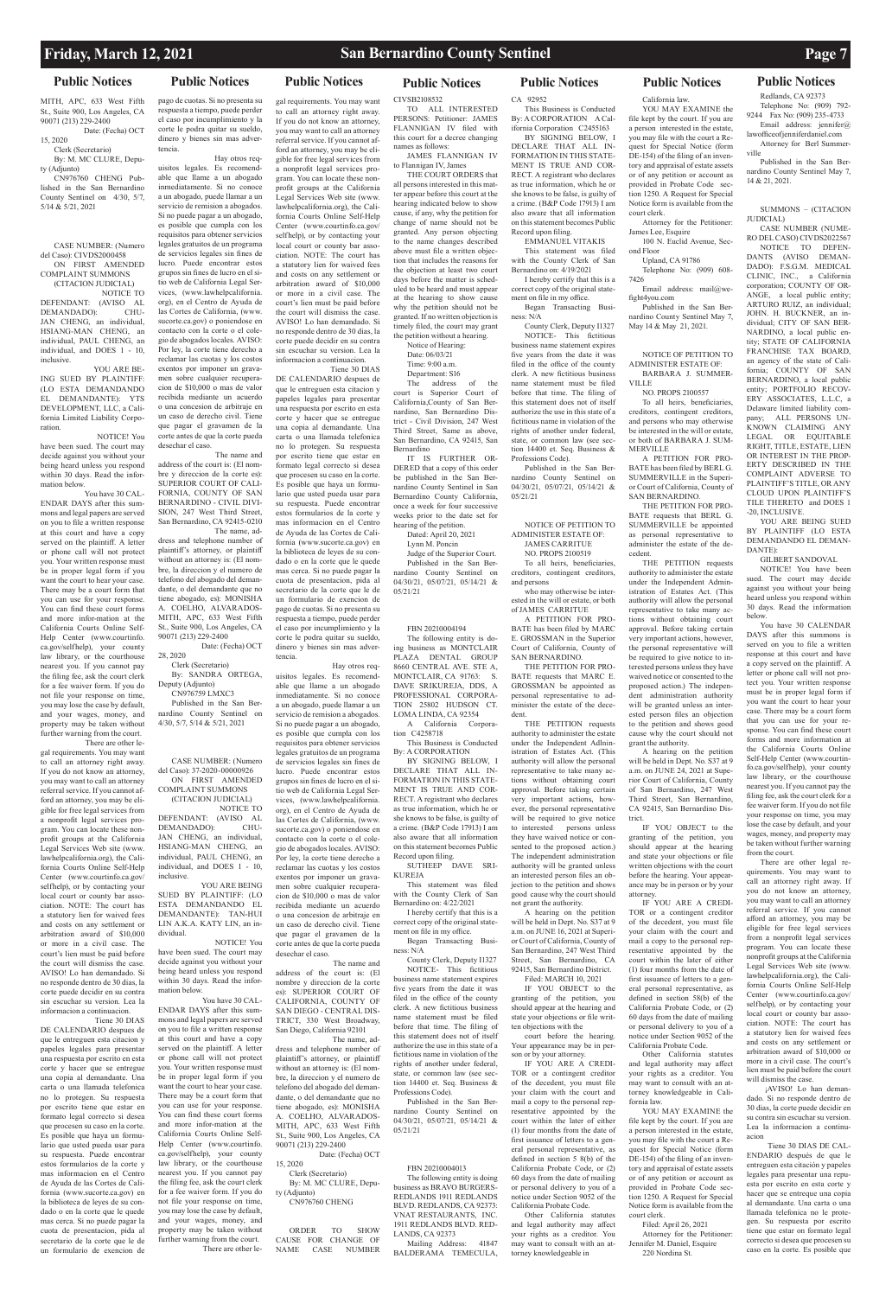MITH, APC, 633 West Fifth St., Suite 900, Los Angeles, CA 90071 (213) 229-2400 Date: (Fecha) OCT

15, 2020 Clerk (Secretario)

(CITACION JUDICIAL) NOTICE TO DEFENDANT: (AVISO AL<br>DEMANDADO): CHU-DEMANDADO):

By: M. MC CLURE, Deputy (Adjunto)

CN976760 CHENG Published in the San Bernardino County Sentinel on 4/30, 5/7, 5/14 & 5/21, 2021

CASE NUMBER: (Numero del Caso): CIVDS2000458 ON FIRST AMENDED COMPLAINT SUMMONS

JAN CHENG, an individual, HSIANG-MAN CHENG, an individual, PAUL CHENG, an individual, and DOES 1 - 10, inclusive.

 YOU ARE BE-ING SUED BY PLAINTIFF: (LO ESTA DEMANDANDO EL DEMANDANTE): YTS DEVELOPMENT, LLC, a California Limited Liability Corporation.

 NOTICE! You have been sued. The court may decide against you without your being heard unless you respond within 30 days. Read the information below.

 You have 30 CAL-ENDAR DAYS after this summons and legal papers are served on you to file a written response at this court and have a copy served on the plaintiff. A letter or phone call will not protect you. Your written response must be in proper legal form if you want the court to hear your case. There may be a court form that you can use for your response. You can find these court forms and more infor-mation at the California Courts Online Self-Help Center (www.courtinfo. ca.gov/selfhelp), your county law library, or the courthouse nearest you. If you cannot pay the filing fee, ask the court clerk for a fee waiver form. If you do not file your response on time, you may lose the case by default, and your wages, money, and property may be taken without further warning from the court. There are other le-

gal requirements. You may want to call an attorney right away. If you do not know an attorney, you may want to call an attorney referral service. If you cannot afford an attorney, you may be eligible for free legal services from a nonprofit legal services program. You can locate these nonprofit groups at the California Legal Services Web site (www. lawhelpcalifornia.org), the California Courts Online Self-Help Center (www.courtinfo.ca.gov/ selfhelp), or by contacting your local court or county bar association. NOTE: The court has a statutory lien for waived fees and costs on any settlement or arbitration award of \$10,000 or more in a civil case. The court's lien must be paid before the court will dismiss the case. AVISO! Lo han demandado. Si no responde dentro de 30 dias, la corte puede decidir en su contra sin escuchar su version. Lea la

Clerk (Secretario) By: SANDRA ORTEGA, Deputy (Adjunto)

informacion a continuacion.

 Tiene 30 DIAS DE CALENDARIO despues de que le entreguen esta citacion y papeles legales para presentar una respuesta por escrito en esta corte y hacer que se entregue una copia al demandante. Una carta o una llamada telefonica no lo protegen. Su respuesta por escrito tiene que estar en formato legal correcto si desea que procesen su caso en la corte. Es posible que haya un formulario que usted pueda usar para su respuesta. Puede encontrar estos formularios de la corte y mas informacion en el Centro de Ayuda de las Cortes de California (www.sucorte.ca.gov) en la biblioteca de leyes de su condado o en la corte que le quede mas cerca. Si no puede pagar la cuota de presentacion, pida al secretario de la corte que le de un formulario de exencion de

**Public Notices Public Notices Public Notices Public Notices Public Notices Public Notices Public Notices**

pago de cuotas. Si no presenta su respuesta a tiempo, puede perder el caso por incumplimiento y la corte le podra quitar su sueldo, dinero y bienes sin mas advertencia.

 Hay otros requisitos legales. Es recomendable que llame a un abogado inmediatamente. Si no conoce a un abogado, puede llamar a un servicio de remision a abogados. Si no puede pagar a un abogado, es posible que cumpla con los requisitos para obtener servicios legales gratuitos de un programa de servicios legales sin fines de lucro. Puede encontrar estos grupos sin fines de lucro en el sitio web de California Legal Services, (www.lawhelpcalifornia. org), en el Centro de Ayuda de las Cortes de California, (www. sucorte.ca.gov) o poniendose en contacto con la corte o el colegio de abogados locales. AVISO: Por ley, la corte tiene derecho a reclamar las cuotas y los costos exentos por imponer un gravamen sobre cualquier recuperacion de \$10,000 o mas de valor recibida mediante un acuerdo o una concesion de arbitraje en un caso de derecho civil. Tiene que pagar el gravamen de la corte antes de que la corte pueda

desechar el caso. The name and address of the court is: (El nombre y direccion de la corte es): SUPERIOR COURT OF CALI-FORNIA, COUNTY OF SAN BERNARDINO - CIVIL DIVI-SION, 247 West Third Street, San Bernardino, CA 92415-0210 The name, ad-

dress and telephone number of plaintiff's attorney, or plaintiff without an attorney is: (El nombre, la direccion y el numero de telefono del abogado del demandante, o del demandante que no tiene abogado, es): MONISHA A. COELHO, ALVARADOS-MITH, APC, 633 West Fifth St., Suite 900, Los Angeles, CA 90071 (213) 229-2400 Date: (Fecha) OCT

> ORDER TO SHOW CAUSE FOR CHANGE OF<br>NAME CASE NUMBER CASE NUMBER

28, 2020

CN976759 LMXC3 Published in the San Bernardino County Sentinel on 4/30, 5/7, 5/14 & 5/21, 2021

CASE NUMBER: (Numero del Caso): 37-2020-00000926 ON FIRST AMENDED COMPLAINT SUMMONS

Notice of Hearing: Date: 06/03/21

(CITACION JUDICIAL) NOTICE TO DEFENDANT: (AVISO AL<br>DEMANDADO): CHU-DEMANDADO): JAN CHENG, an individual, HSIANG-MAN CHENG, an individual, PAUL CHENG, an individual, and DOES 1 - 10, inclusive.

 YOU ARE BEING SUED BY PLAINTIFF: (LO ESTA DEMANDANDO EL DEMANDANTE): TAN-HUI LIN A.K.A. KATY LIN, an individual.

 NOTICE! You have been sued. The court may decide against you without your being heard unless you respond within 30 days. Read the information below. You have 30 CAL-

ENDAR DAYS after this summons and legal papers are served on you to file a written response at this court and have a copy served on the plaintiff. A letter or phone call will not protect you. Your written response must be in proper legal form if you want the court to hear your case. There may be a court form that you can use for your response. You can find these court forms and more infor-mation at the California Courts Online Self-Help Center (www.courtinfo. ca.gov/selfhelp), your county law library, or the courthouse nearest you. If you cannot pay the filing fee, ask the court clerk for a fee waiver form. If you do not file your response on time, you may lose the case by default, and your wages, money, and property may be taken without further warning from the court. There are other le-

Mailing Address: 41847 BALDERAMA TEMECULA,

### gal requirements. You may want to call an attorney right away. If you do not know an attorney, you may want to call an attorney referral service. If you cannot af-

BY SIGNING BELOW I DECLARE THAT ALL IN-FORMATION IN THIS STATE-MENT IS TRUE AND COR-RECT. A registrant who declares as true information, which he or she knows to be false, is guilty of a crime. (B&P Code 17913) I am also aware that all information on this statement becomes Public Record upon filing.

a nonprofit legal services program. You can locate these nonprofit groups at the California Legal Services Web site (www. lawhelpcalifornia.org), the California Courts Online Self-Help Center (www.courtinfo.ca.gov/ selfhelp), or by contacting your local court or county bar association. NOTE: The court has a statutory lien for waived fees and costs on any settlement or arbitration award of \$10,000 or more in a civil case. The court's lien must be paid before the court will dismiss the case. AVISO! Lo han demandado. Si no responde dentro de 30 dias, la corte puede decidir en su contra sin escuchar su version. Lea la informacion a continuacion.

Tiene 30 DIAS

court before the hearing Your appearance may be in person or by your attorney.

DE CALENDARIO despues de que le entreguen esta citacion y papeles legales para presentar una respuesta por escrito en esta corte y hacer que se entregue una copia al demandante. Una carta o una llamada telefonica no lo protegen. Su respuesta por escrito tiene que estar en formato legal correcto si desea que procesen su caso en la corte. Es posible que haya un formulario que usted pueda usar para su respuesta. Puede encontrar estos formularios de la corte y mas informacion en el Centro de Ayuda de las Cortes de California (www.sucorte.ca.gov) en la biblioteca de leyes de su condado o en la corte que le quede mas cerca. Si no puede pagar la cuota de presentacion, pida al secretario de la corte que le de un formulario de exencion de pago de cuotas. Si no presenta su respuesta a tiempo, puede perder el caso por incumplimiento y la corte le podra quitar su sueldo, dinero y bienes sin mas adver-

tencia.

Hay otros req-

ford an attorney, you may be eligible for free legal services from CIVSB2108532 TO ALL INTERESTED PERSONS: Petitioner: JAMES FLANNIGAN IV filed with this court for a decree changing names as follows:

uisitos legales. Es recomendable que llame a un abogado inmediatamente. Si no conoce a un abogado, puede llamar a un servicio de remision a abogados. Si no puede pagar a un abogado, es posible que cumpla con los requisitos para obtener servicios legales gratuitos de un programa de servicios legales sin fines de lucro. Puede encontrar estos grupos sin fines de lucro en el sitio web de California Legal Services, (www.lawhelpcalifornia. org), en el Centro de Ayuda de las Cortes de California, (www. sucorte.ca.gov) o poniendose en contacto con la corte o el colegio de abogados locales. AVISO: Por ley, la corte tiene derecho a reclamar las cuotas y los costos exentos por imponer un gravamen sobre cualquier recuperacion de \$10,000 o mas de valor recibida mediante un acuerdo o una concesion de arbitraje en un caso de derecho civil. Tiene que pagar el gravamen de la corte antes de que la corte pueda

desechar el caso.

The name and

address of the court is: (El nombre y direccion de la corte es): SUPERIOR COURT OF CALIFORNIA, COUNTY OF

SAN DIEGO - CENTRAL DIS-TRICT, 330 West Broadway, San Diego, California 92101

 The name, address and telephone number of plaintiff's attorney, or plaintiff without an attorney is: (El nombre, la direccion y el numero de telefono del abogado del demandante, o del demandante que no tiene abogado, es): MONISHA A. COELHO, ALVARADOS-MITH, APC, 633 West Fifth St., Suite 900, Los Angeles, CA 90071 (213) 229-2400

Date: (Fecha) OCT

15, 2020 Clerk (Secretario) By: M. MC CLURE, Depu-

ty (Adjunto) CN976760 CHENG

JAMES FLANNIGAN IV to Flannigan IV, James THE COURT ORDERS that

all persons interested in this matter appear before this court at the hearing indicated below to show cause, if any, why the petition for change of name should not be granted. Any person objecting to the name changes described above must file a written objection that includes the reasons for the objection at least two court days before the matter is scheduled to be heard and must appear at the hearing to show cause why the petition should not be granted. If no written objection is timely filed, the court may grant the petition without a hearing.

> Time: 9:00 a.m. Department: S16

The address of the court is Superior Court of California,County of San Bernardino, San Bernardino District - Civil Division, 247 West Third Street, Same as above, San Bernardino, CA 92415, San Bernardino

IT IS FURTHER OR-DERED that a copy of this order be published in the San Bernardino County Sentinel in San Bernardino County California, once a week for four successive weeks prior to the date set for hearing of the petition.

Dated: April 20, 2021 Lynn M. Poncin

Judge of the Superior Court. Published in the San Bernardino County Sentinel on 04/30/21, 05/07/21, 05/14/21 & 05/21/21

## FBN 20210004194

The following entity is doing business as MONTCLAIR PLAZA DENTAL GROUP 8660 CENTRAL AVE. STE A, MONTCLAIR, CA 91763: S. DAVE SRIKUREJA, DDS, A PROFESSIONAL CORPORA-TION 25802 HUDSON CT. LOMA LINDA, CA 92354

A California Corporation C4258718

This Business is Conducted By: A CORPORATION

BY SIGNING BELOW, I DECLARE THAT ALL IN-FORMATION IN THIS STATE-MENT IS TRUE AND COR-RECT. A registrant who declares as true information, which he or she knows to be false, is guilty of a crime. (B&P Code 17913) I am also aware that all information on this statement becomes Public Record upon filing.

SUTHEEP DAVE SRI-KUREJA

This statement was filed with the County Clerk of San Bernardino on: 4/22/2021

I hereby certify that this is a correct copy of the original statement on file in my office.

Began Transacting Business: N/A County Clerk, Deputy I1327

NOTICE- This fictitious business name statement expires five years from the date it was filed in the office of the county clerk. A new fictitious business

name statement must be filed before that time. The filing of this statement does not of itself authorize the use in this state of a fictitious name in violation of the rights of another under federal, state, or common law (see section 14400 et. Seq. Business & Professions Code).

Published in the San Bernardino County Sentinel on 04/30/21, 05/07/21, 05/14/21 & 05/21/21

## FBN 20210004013

The following entity is doing business as BRAVO BURGERS-REDLANDS 1911 REDLANDS BLVD. REDLANDS, CA 92373: VNAT RESTAURANTS, INC. 1911 REDLANDS BLVD. RED-LANDS, CA 92373

CA 92952 This Business is Conducted By: A CORPORATION A California Corporation C2455163

EMMANUEL VITAKIS This statement was filed with the County Clerk of San

Bernardino on: 4/19/2021 I hereby certify that this is a correct copy of the original state-

ment on file in my office. Began Transacting Busi-

ness: N/A County Clerk, Deputy I1327

NOTICE- This fictitious business name statement expires five years from the date it was filed in the office of the county clerk. A new fictitious business name statement must be filed before that time. The filing of this statement does not of itself

NOTICE OF PETITION TO ADMINISTER ESTATE OF: JAMES CARRITUE

NO. PROPS 2100519 To all heirs, beneficiaries,

creditors, contingent creditors, and persons

who may otherwise be interested in the will or estate, or both of JAMES CARRITUE

A PETITION FOR PRO-BATE has been filed by MARC E. GROSSMAN in the Superior Court of California, County of SAN BERNARDINO.

THE PETITION FOR PRO-BATE requests that MARC E. GROSSMAN be appointed as personal representative to administer the estate of the decedent.

THE PETITION requests authority to administer the estate under the Independent Adlninistration of Estates Act. (This authority will allow the personal representative to take many actions without obtaining court approval. Before taking certain very important actions, however, the personal representative will be required to give notice to interested persons unless they have waived notice or consented to the proposed action.) The independent administration authority will be granted unless an interested person files an objection to the petition and shows good cause why the court should not grant the authority.

A hearing on the petition will be held in Dept. No. S37 at 9 a.m. on JUNE 16, 2021 at Superior Court of California, County of San Bernardino, 247 West Third Street, San Bernardino, CA 92415, San Bernardino District.

Filed: MARCH 10, 2021 IF YOU OBJECT to the

granting of the petition, you should appear at the hearing and

authorize the use in this state of a fictitious name in violation of the rights of another under federal, state, or common law (see section 14400 et. Seq. Business & Professions Code). creditors, contingent creditors, and persons who may otherwise be interested in the will or estate, or both of BARBARA J. SUM-MERVILLE

state your objections or file written objections with the

Published in the San Bernardino County Sentinel on 04/30/21, 05/07/21, 05/14/21 & 05/21/21 SUMMERVILLE in the Superi-

IF YOU ARE A CREDI-TOR or a contingent creditor of the decedent, you must file your claim with the court and mail a copy to the personal representative appointed by the court within the later of either (1) four months from the date of first issuance of letters to a general personal representative, as defined in section 5 8(b) of the California Probate Code, or (2) 60 days from the date of mailing or personal delivery to you of a notice under Section 9052 of the California Probate Code.

Other California statutes and legal authority may affect your rights as a creditor. You may want to consult with an attorney knowledgeable in

California law.

YOU MAY EXAMINE the file kept by the court. If you are a person interested in the estate, you may file with the court a Request for Special Notice (form DE-154) of the filing of an inventory and appraisal of estate assets or of any petition or account as provided in Probate Code section 1250. A Request for Special Notice form is available from the

court clerk.

Attorney for the Petitioner:

James Lee, Esquire

100 N. Euclid Avenue, Sec-

ond Floor

Upland, CA 91786 Telephone No: (909) 608-

7426

Email address: mail@we-

fight4you.com

Published in the San Bernardino County Sentinel May 7, May 14 & May 21, 2021.

NOTICE OF PETITION TO ADMINISTER ESTATE OF: BARBARA J. SUMMER-

VILLE

NO. PROPS 2100557 To all heirs, beneficiaries,

A PETITION FOR PRO-BATE has been filed by BERL G.

or Court of California, County of SAN BERNARDINO.

THE PETITION FOR PRO-BATE requests that BERL G. SUMMERVILLE be appointed as personal representative to administer the estate of the de-

cedent.

THE PETITION requests authority to administer the estate

under the Independent Administration of Estates Act. (This authority will allow the personal representative to take many actions without obtaining court approval. Before taking certain very important actions, however, the personal representative will be required to give notice to interested persons unless they have

waived notice or consented to the proposed action.) The independent administration authority will be granted unless an interested person files an objection to the petition and shows good cause why the court should not grant the authority.

A hearing on the petition will be held in Dept. No. S37 at 9 a.m. on JUNE 24, 2021 at Superior Court of California, County of San Bernardino, 247 West Third Street, San Bernardino, CA 92415, San Bernardino Dis-

trict.

IF YOU OBJECT to the granting of the petition, you should appear at the hearing and state your objections or file written objections with the court before the hearing. Your appearance may be in person or by your attorney.

IF YOU ARE A CREDI-TOR or a contingent creditor of the decedent, you must file your claim with the court and mail a copy to the personal representative appointed by the court within the later of either (1) four months from the date of first issuance of letters to a general personal representative, as defined in section 58(b) of the California Probate Code, or (2)

60 days from the date of mailing or personal delivery to you of a notice under Section 9052 of the California Probate Code.

Other California statutes and legal authority may affect your rights as a creditor. You may want to consult with an attorney knowledgeable in California law.

YOU MAY EXAMINE the file kept by the court. If you are a person interested in the estate, you may file with the court a Request for Special Notice (form DE-154) of the filing of an inventory and appraisal of estate assets or of any petition or account as provided in Probate Code section 1250. A Request for Special Notice form is available from the court clerk.

Filed: April 26, 2021 Attorney for the Petitioner: Jennifer M. Daniel, Esquire 220 Nordina St.

Redlands, CA 92373 Telephone No: (909) 792- 9244 Fax No: (909) 235-4733 Email address: jennifer@ lawofficeofjenniferdaniel.com Attorney for Berl Summerville

Published in the San Berardino County Sentinel May 7, 14 & 21, 2021.

SUMMONS – (CITACION JUDICIAL)

CASE NUMBER (NUME-RO DEL CASO) CIVDS2022567 NOTICE TO DEFEN-DANTS (AVISO DEMAN-DADO): F.S.G.M. MEDICAL CLINIC, INC., a California corporation; COUNTY OF OR-ANGE, a local public entity; ARTURO RUIZ, an individual; JOHN. H. BUCKNER, an individual; CITY OF SAN BER-NARDINO, a local public entity; STATE OF CALIFORNIA FRANCHISE TAX BOARD, an agency of the state of California; COUNTY OF SAN BERNARDINO, a local public entity; PORTFOLIO RECOV-ERY ASSOCIATES, L.L.C, a Delaware limited liability company; ALL PERSONS UN-KNOWN CLAIMING ANY LEGAL OR EQUITABLE RIGHT, TITLE, ESTATE, LIEN OR INTEREST IN THE PROP-

ERTY DESCRIBED IN THE COMPLAINT ADVERSE TO PLAINTIFF'S TITLE, OR ANY CLOUD UPON PLAINTIFF'S TILE THERETO and DOES 1 -20, INCLUSIVE.

YOU ARE BEING SUED BY PLAINTIFF (LO ESTA DEMANDANDO EL DEMAN-DANTE):

GILBERT SANDOVAL NOTICE! You have been

sued. The court may decide against you without your being heard unless you respond within 30 days. Read the information below.

You have 30 CALENDAR DAYS after this summons is served on you to file a written response at this court and have a copy served on the plaintiff. A letter or phone call will not protect you. Your written response must be in proper legal form if you want the court to hear your case. There may be a court form that you can use for your response. You can find these court forms and more information at the California Courts Online Self-Help Center (www.courtinfo.ca.gov/selfhelp), your county law library, or the courthouse nearest you. If you cannot pay the filing fee, ask the court clerk for a fee waiver form. If you do not file your response on time, you may lose the case by default, and your wages, money, and property may be taken without further warning from the court.

There are other legal requirements. You may want to call an attorney right away. If you do not know an attorney, you may want to call an attorney referral service. If you cannot afford an attorney, you may be eligible for free legal services from a nonprofit legal services program. You can locate these nonprofit groups at the California Legal Services Web site (www. lawhelpcalifornia.org), the California Courts Online Self-Help Center (www.courtinfo.ca.gov/ selfhelp), or by contacting your local court or county bar association. NOTE: The court has a statutory lien for waived fees and costs on any settlement or arbitration award of \$10,000 or more in a civil case. The court's lien must be paid before the court will dismiss the case. ¡AVISO! Lo han demandado. Si no responde dentro de 30 dias, la corte puede decidir en su contra sin escuchar su version. Lea la informacion a continuacion Tiene 30 DIAS DE CAL-ENDARIO después de que le entreguen esta citación y papeles legales para presentar una repuesta por escrito en esta corte y hacer que se entreque una copia al demandante. Una carta o una llamada telefonica no le protegen. Su respuesta por escrito tiene que estar on formato legal correcto si desea que procesen su caso en la corte. Es posible que